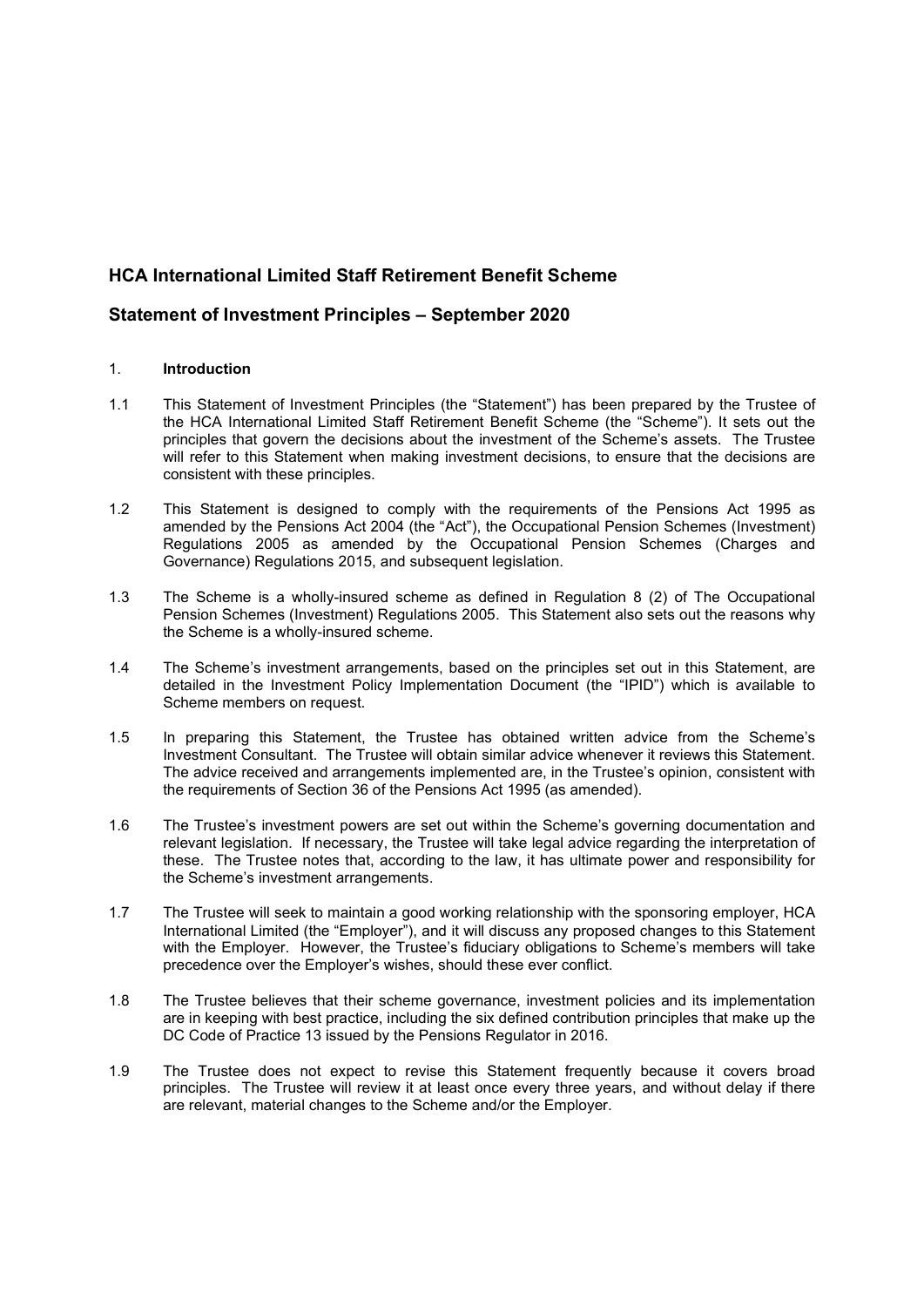# **HCA International Limited Staff Retirement Benefit Scheme**

# **Statement of Investment Principles – September 2020**

## 1. **Introduction**

- 1.1 This Statement of Investment Principles (the "Statement") has been prepared by the Trustee of the HCA International Limited Staff Retirement Benefit Scheme (the "Scheme"). It sets out the principles that govern the decisions about the investment of the Scheme's assets. The Trustee will refer to this Statement when making investment decisions, to ensure that the decisions are consistent with these principles.
- 1.2 This Statement is designed to comply with the requirements of the Pensions Act 1995 as amended by the Pensions Act 2004 (the "Act"), the Occupational Pension Schemes (Investment) Regulations 2005 as amended by the Occupational Pension Schemes (Charges and Governance) Regulations 2015, and subsequent legislation.
- 1.3 The Scheme is a wholly-insured scheme as defined in Regulation 8 (2) of The Occupational Pension Schemes (Investment) Regulations 2005. This Statement also sets out the reasons why the Scheme is a wholly-insured scheme.
- 1.4 The Scheme's investment arrangements, based on the principles set out in this Statement, are detailed in the Investment Policy Implementation Document (the "IPID") which is available to Scheme members on request.
- 1.5 In preparing this Statement, the Trustee has obtained written advice from the Scheme's Investment Consultant. The Trustee will obtain similar advice whenever it reviews this Statement. The advice received and arrangements implemented are, in the Trustee's opinion, consistent with the requirements of Section 36 of the Pensions Act 1995 (as amended).
- 1.6 The Trustee's investment powers are set out within the Scheme's governing documentation and relevant legislation. If necessary, the Trustee will take legal advice regarding the interpretation of these. The Trustee notes that, according to the law, it has ultimate power and responsibility for the Scheme's investment arrangements.
- 1.7 The Trustee will seek to maintain a good working relationship with the sponsoring employer, HCA International Limited (the "Employer"), and it will discuss any proposed changes to this Statement with the Employer. However, the Trustee's fiduciary obligations to Scheme's members will take precedence over the Employer's wishes, should these ever conflict.
- 1.8 The Trustee believes that their scheme governance, investment policies and its implementation are in keeping with best practice, including the six defined contribution principles that make up the DC Code of Practice 13 issued by the Pensions Regulator in 2016.
- 1.9 The Trustee does not expect to revise this Statement frequently because it covers broad principles. The Trustee will review it at least once every three years, and without delay if there are relevant, material changes to the Scheme and/or the Employer.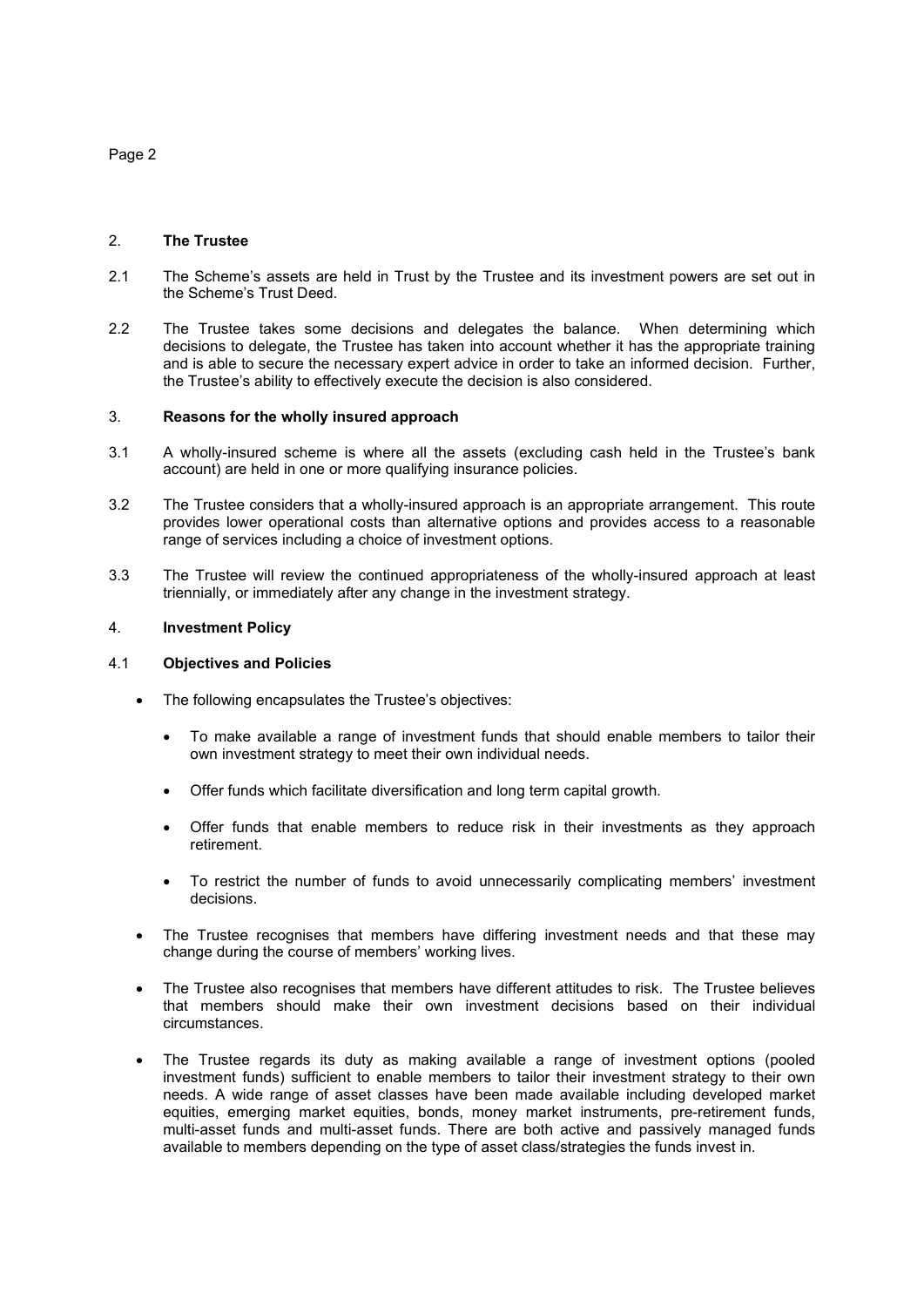### 2. **The Trustee**

- 2.1 The Scheme's assets are held in Trust by the Trustee and its investment powers are set out in the Scheme's Trust Deed.
- 2.2 The Trustee takes some decisions and delegates the balance. When determining which decisions to delegate, the Trustee has taken into account whether it has the appropriate training and is able to secure the necessary expert advice in order to take an informed decision. Further, the Trustee's ability to effectively execute the decision is also considered.

#### 3. **Reasons for the wholly insured approach**

- 3.1 A wholly-insured scheme is where all the assets (excluding cash held in the Trustee's bank account) are held in one or more qualifying insurance policies.
- 3.2 The Trustee considers that a wholly-insured approach is an appropriate arrangement. This route provides lower operational costs than alternative options and provides access to a reasonable range of services including a choice of investment options.
- 3.3 The Trustee will review the continued appropriateness of the wholly-insured approach at least triennially, or immediately after any change in the investment strategy.

#### 4. **Investment Policy**

#### 4.1 **Objectives and Policies**

- The following encapsulates the Trustee's objectives:
	- To make available a range of investment funds that should enable members to tailor their own investment strategy to meet their own individual needs.
	- Offer funds which facilitate diversification and long term capital growth.
	- Offer funds that enable members to reduce risk in their investments as they approach retirement.
	- To restrict the number of funds to avoid unnecessarily complicating members' investment decisions.
- The Trustee recognises that members have differing investment needs and that these may change during the course of members' working lives.
- The Trustee also recognises that members have different attitudes to risk. The Trustee believes that members should make their own investment decisions based on their individual circumstances.
- The Trustee regards its duty as making available a range of investment options (pooled investment funds) sufficient to enable members to tailor their investment strategy to their own needs. A wide range of asset classes have been made available including developed market equities, emerging market equities, bonds, money market instruments, pre-retirement funds, multi-asset funds and multi-asset funds. There are both active and passively managed funds available to members depending on the type of asset class/strategies the funds invest in.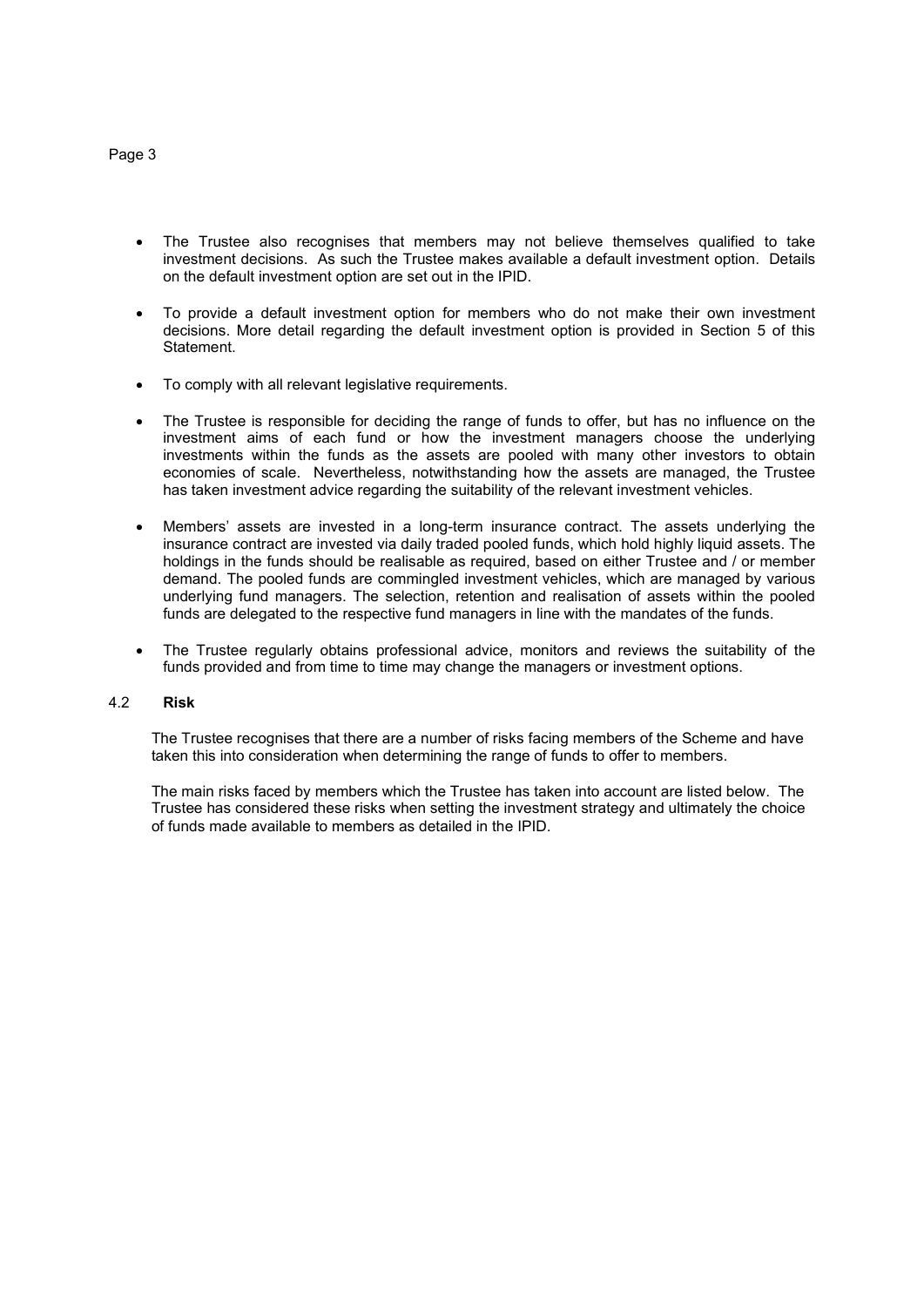- The Trustee also recognises that members may not believe themselves qualified to take investment decisions. As such the Trustee makes available a default investment option. Details on the default investment option are set out in the IPID.
- To provide a default investment option for members who do not make their own investment decisions. More detail regarding the default investment option is provided in Section 5 of this Statement.
- To comply with all relevant legislative requirements.
- The Trustee is responsible for deciding the range of funds to offer, but has no influence on the investment aims of each fund or how the investment managers choose the underlying investments within the funds as the assets are pooled with many other investors to obtain economies of scale. Nevertheless, notwithstanding how the assets are managed, the Trustee has taken investment advice regarding the suitability of the relevant investment vehicles.
- Members' assets are invested in a long-term insurance contract. The assets underlying the insurance contract are invested via daily traded pooled funds, which hold highly liquid assets. The holdings in the funds should be realisable as required, based on either Trustee and / or member demand. The pooled funds are commingled investment vehicles, which are managed by various underlying fund managers. The selection, retention and realisation of assets within the pooled funds are delegated to the respective fund managers in line with the mandates of the funds.
- The Trustee regularly obtains professional advice, monitors and reviews the suitability of the funds provided and from time to time may change the managers or investment options.

## 4.2 **Risk**

The Trustee recognises that there are a number of risks facing members of the Scheme and have taken this into consideration when determining the range of funds to offer to members.

The main risks faced by members which the Trustee has taken into account are listed below. The Trustee has considered these risks when setting the investment strategy and ultimately the choice of funds made available to members as detailed in the IPID.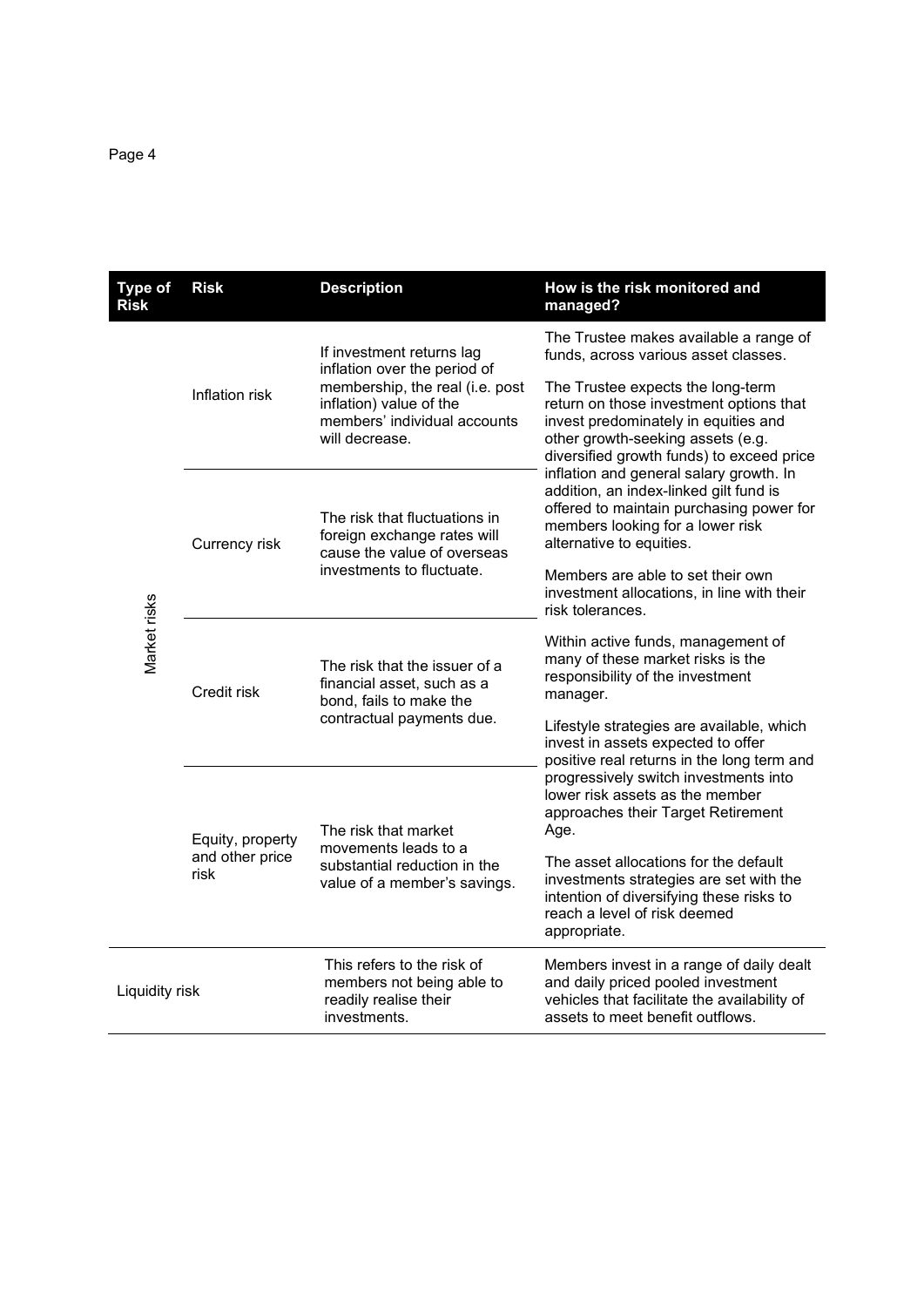| <b>Type of</b><br><b>Risk</b> | <b>Risk</b>                                 | <b>Description</b>                                                                                                                                                        | How is the risk monitored and<br>managed?                                                                                                                                                                                                                                                                                                                                                               |
|-------------------------------|---------------------------------------------|---------------------------------------------------------------------------------------------------------------------------------------------------------------------------|---------------------------------------------------------------------------------------------------------------------------------------------------------------------------------------------------------------------------------------------------------------------------------------------------------------------------------------------------------------------------------------------------------|
| Market risks                  | Inflation risk                              | If investment returns lag<br>inflation over the period of<br>membership, the real (i.e. post<br>inflation) value of the<br>members' individual accounts<br>will decrease. | The Trustee makes available a range of<br>funds, across various asset classes.                                                                                                                                                                                                                                                                                                                          |
|                               |                                             |                                                                                                                                                                           | The Trustee expects the long-term<br>return on those investment options that<br>invest predominately in equities and<br>other growth-seeking assets (e.g.<br>diversified growth funds) to exceed price<br>inflation and general salary growth. In<br>addition, an index-linked gilt fund is<br>offered to maintain purchasing power for<br>members looking for a lower risk<br>alternative to equities. |
|                               | Currency risk                               | The risk that fluctuations in<br>foreign exchange rates will<br>cause the value of overseas<br>investments to fluctuate.                                                  |                                                                                                                                                                                                                                                                                                                                                                                                         |
|                               |                                             |                                                                                                                                                                           | Members are able to set their own<br>investment allocations, in line with their<br>risk tolerances.                                                                                                                                                                                                                                                                                                     |
|                               | Credit risk                                 | The risk that the issuer of a<br>financial asset, such as a<br>bond, fails to make the<br>contractual payments due.                                                       | Within active funds, management of<br>many of these market risks is the<br>responsibility of the investment<br>manager.                                                                                                                                                                                                                                                                                 |
|                               |                                             |                                                                                                                                                                           | Lifestyle strategies are available, which<br>invest in assets expected to offer<br>positive real returns in the long term and                                                                                                                                                                                                                                                                           |
|                               | Equity, property<br>and other price<br>risk | The risk that market<br>movements leads to a<br>substantial reduction in the<br>value of a member's savings.                                                              | progressively switch investments into<br>lower risk assets as the member<br>approaches their Target Retirement<br>Age.                                                                                                                                                                                                                                                                                  |
|                               |                                             |                                                                                                                                                                           | The asset allocations for the default<br>investments strategies are set with the<br>intention of diversifying these risks to<br>reach a level of risk deemed<br>appropriate.                                                                                                                                                                                                                            |
| Liquidity risk                |                                             | This refers to the risk of<br>members not being able to<br>readily realise their<br>investments.                                                                          | Members invest in a range of daily dealt<br>and daily priced pooled investment<br>vehicles that facilitate the availability of<br>assets to meet benefit outflows.                                                                                                                                                                                                                                      |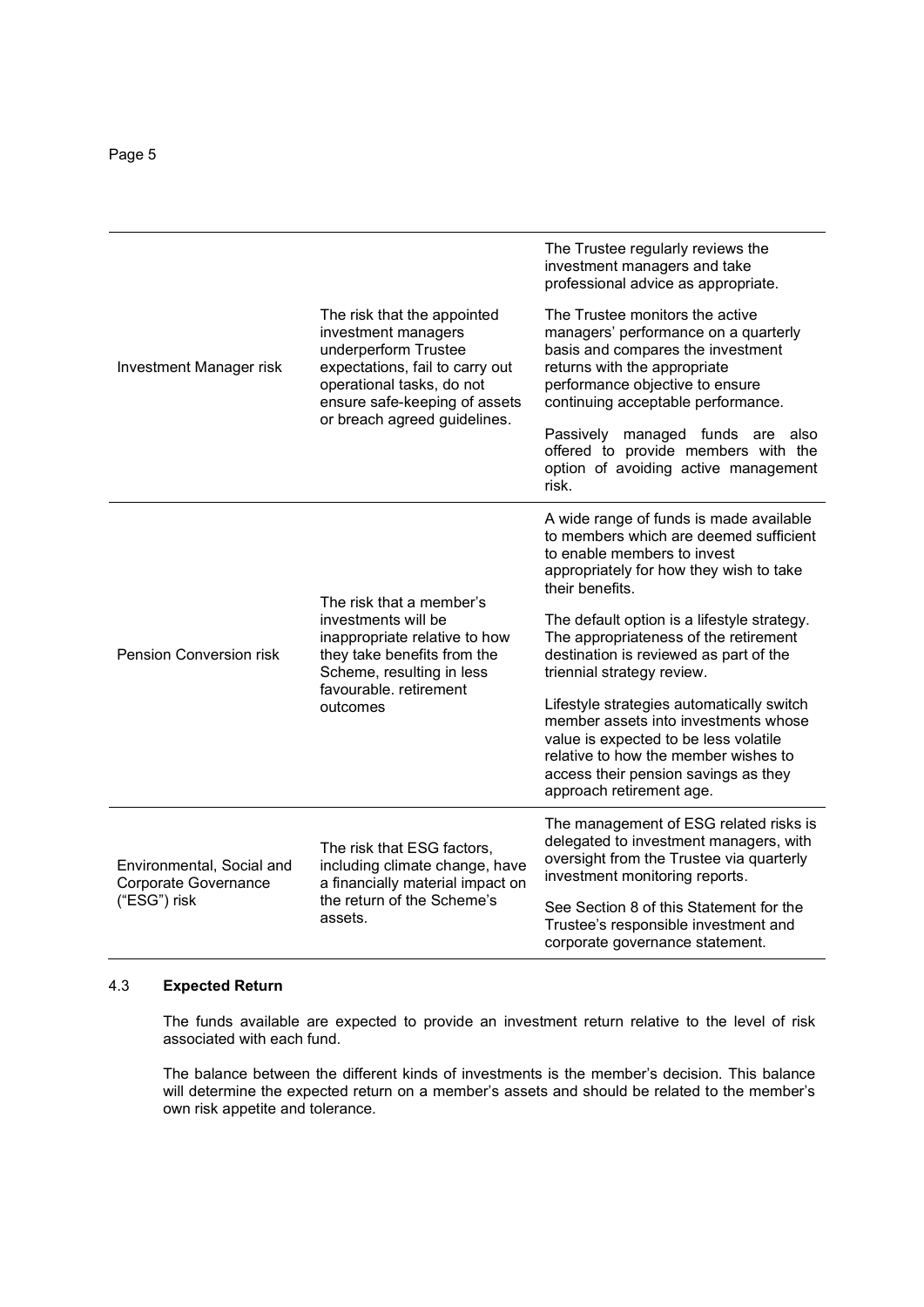|                                                   | The risk that the appointed<br>investment managers<br>underperform Trustee<br>expectations, fail to carry out<br>operational tasks, do not<br>ensure safe-keeping of assets<br>or breach agreed guidelines. | The Trustee regularly reviews the<br>investment managers and take<br>professional advice as appropriate.                                                                                                                               |
|---------------------------------------------------|-------------------------------------------------------------------------------------------------------------------------------------------------------------------------------------------------------------|----------------------------------------------------------------------------------------------------------------------------------------------------------------------------------------------------------------------------------------|
| Investment Manager risk                           |                                                                                                                                                                                                             | The Trustee monitors the active<br>managers' performance on a quarterly<br>basis and compares the investment<br>returns with the appropriate<br>performance objective to ensure<br>continuing acceptable performance.                  |
|                                                   |                                                                                                                                                                                                             | Passively<br>managed funds are also<br>offered to provide members with the<br>option of avoiding active management<br>risk.                                                                                                            |
|                                                   | The risk that a member's<br>investments will be<br>inappropriate relative to how<br>they take benefits from the<br>Scheme, resulting in less<br>favourable, retirement<br>outcomes                          | A wide range of funds is made available<br>to members which are deemed sufficient<br>to enable members to invest<br>appropriately for how they wish to take<br>their benefits.                                                         |
| <b>Pension Conversion risk</b>                    |                                                                                                                                                                                                             | The default option is a lifestyle strategy.<br>The appropriateness of the retirement<br>destination is reviewed as part of the<br>triennial strategy review.                                                                           |
|                                                   |                                                                                                                                                                                                             | Lifestyle strategies automatically switch<br>member assets into investments whose<br>value is expected to be less volatile<br>relative to how the member wishes to<br>access their pension savings as they<br>approach retirement age. |
| Environmental, Social and<br>Corporate Governance | The risk that ESG factors,<br>including climate change, have<br>a financially material impact on                                                                                                            | The management of ESG related risks is<br>delegated to investment managers, with<br>oversight from the Trustee via quarterly<br>investment monitoring reports.                                                                         |
| ("ESG") risk                                      | the return of the Scheme's<br>assets.                                                                                                                                                                       | See Section 8 of this Statement for the<br>Trustee's responsible investment and<br>corporate governance statement.                                                                                                                     |

## 4.3 **Expected Return**

The funds available are expected to provide an investment return relative to the level of risk associated with each fund.

The balance between the different kinds of investments is the member's decision. This balance will determine the expected return on a member's assets and should be related to the member's own risk appetite and tolerance.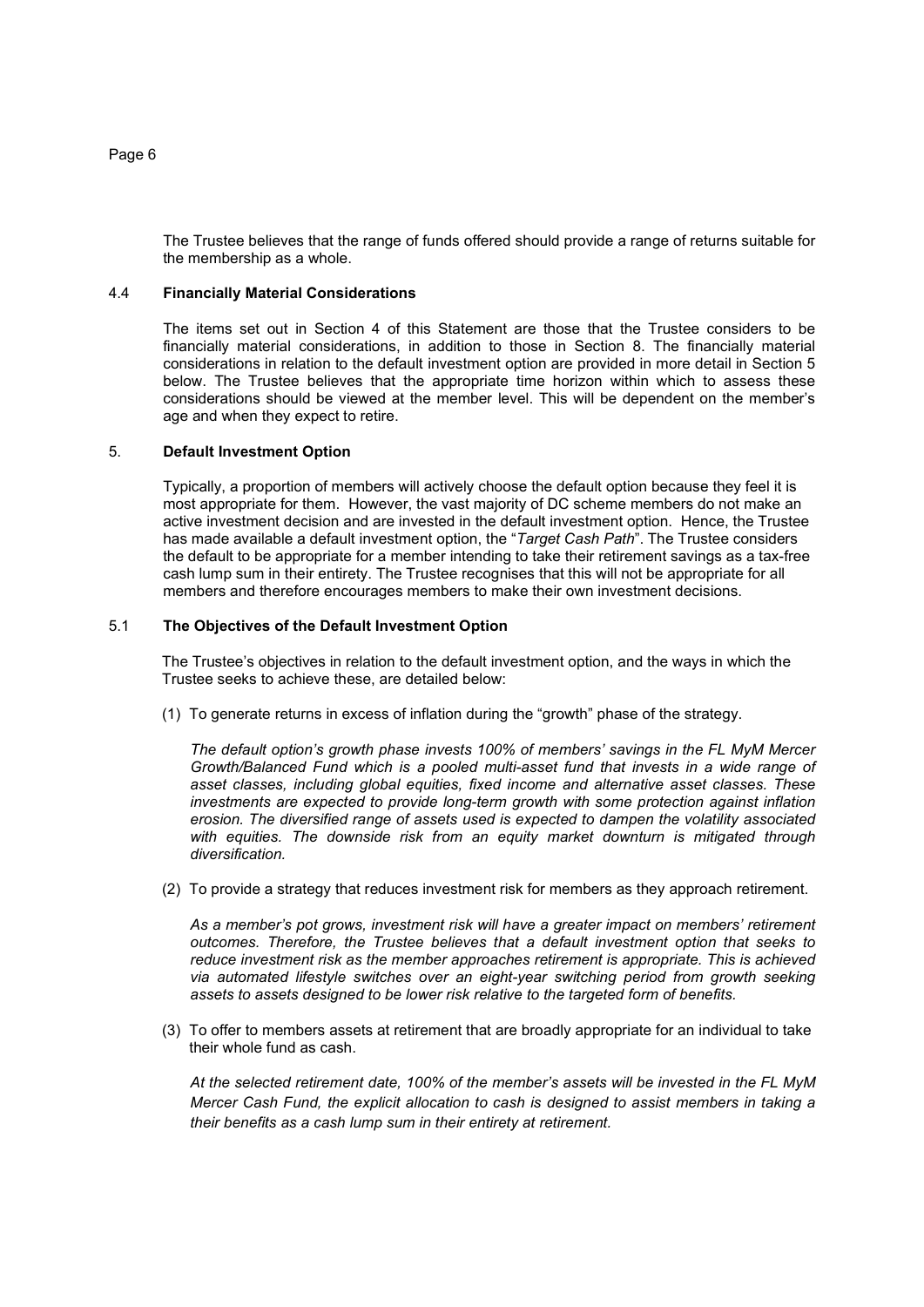The Trustee believes that the range of funds offered should provide a range of returns suitable for the membership as a whole.

## 4.4 **Financially Material Considerations**

The items set out in Section 4 of this Statement are those that the Trustee considers to be financially material considerations, in addition to those in Section 8. The financially material considerations in relation to the default investment option are provided in more detail in Section 5 below. The Trustee believes that the appropriate time horizon within which to assess these considerations should be viewed at the member level. This will be dependent on the member's age and when they expect to retire.

## 5. **Default Investment Option**

Typically, a proportion of members will actively choose the default option because they feel it is most appropriate for them. However, the vast majority of DC scheme members do not make an active investment decision and are invested in the default investment option. Hence, the Trustee has made available a default investment option, the "*Target Cash Path*". The Trustee considers the default to be appropriate for a member intending to take their retirement savings as a tax-free cash lump sum in their entirety. The Trustee recognises that this will not be appropriate for all members and therefore encourages members to make their own investment decisions.

## 5.1 **The Objectives of the Default Investment Option**

The Trustee's objectives in relation to the default investment option, and the ways in which the Trustee seeks to achieve these, are detailed below:

(1) To generate returns in excess of inflation during the "growth" phase of the strategy.

*The default option's growth phase invests 100% of members' savings in the FL MyM Mercer Growth/Balanced Fund which is a pooled multi-asset fund that invests in a wide range of asset classes, including global equities, fixed income and alternative asset classes. These*  investments are expected to provide long-term growth with some protection against inflation *erosion. The diversified range of assets used is expected to dampen the volatility associated*  with equities. The downside risk from an equity market downturn is mitigated through *diversification.* 

(2) To provide a strategy that reduces investment risk for members as they approach retirement.

*As a member's pot grows, investment risk will have a greater impact on members' retirement outcomes. Therefore, the Trustee believes that a default investment option that seeks to reduce investment risk as the member approaches retirement is appropriate. This is achieved via automated lifestyle switches over an eight-year switching period from growth seeking assets to assets designed to be lower risk relative to the targeted form of benefits.* 

(3) To offer to members assets at retirement that are broadly appropriate for an individual to take their whole fund as cash.

*At the selected retirement date, 100% of the member's assets will be invested in the FL MyM Mercer Cash Fund, the explicit allocation to cash is designed to assist members in taking a their benefits as a cash lump sum in their entirety at retirement.*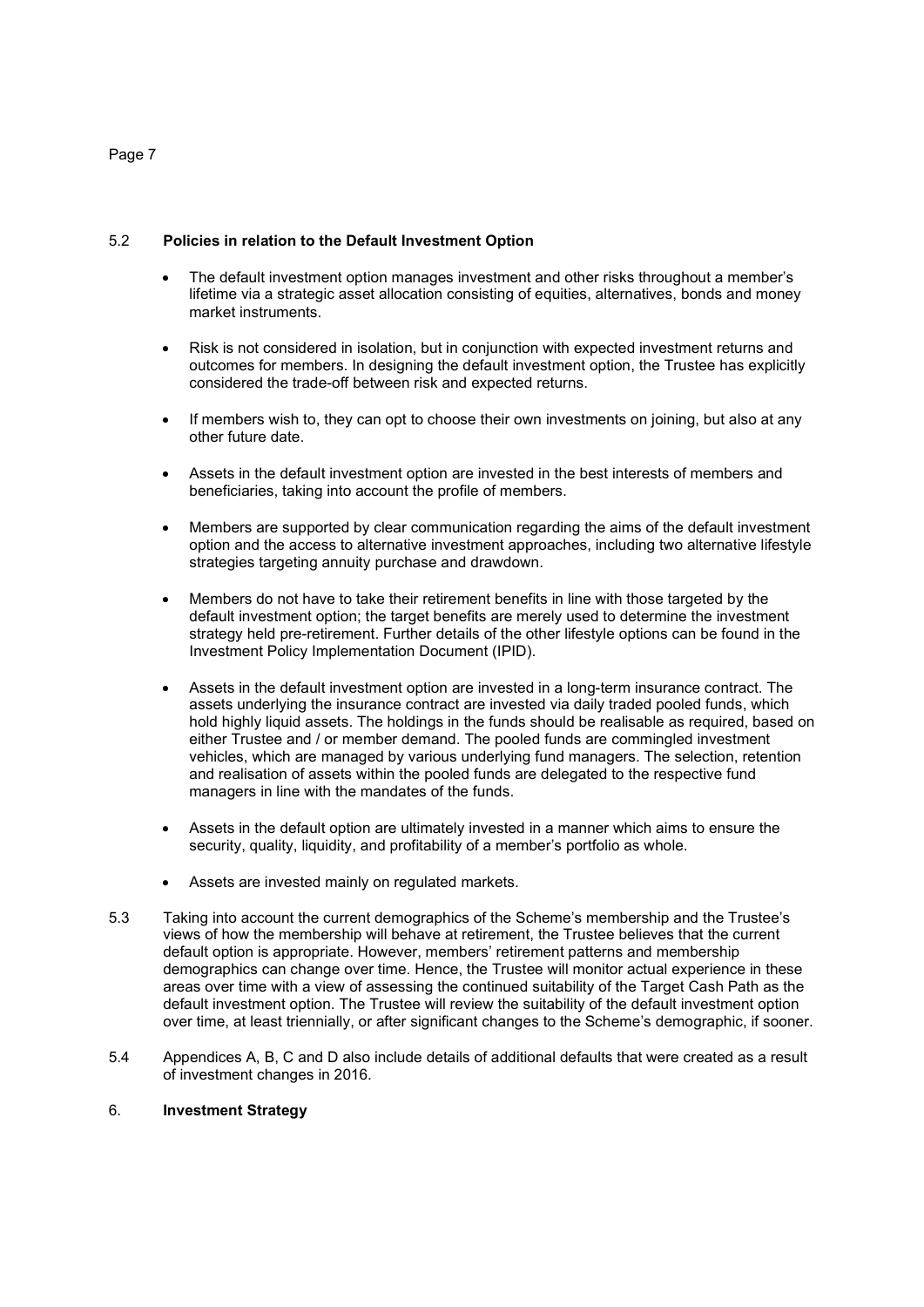# 5.2 **Policies in relation to the Default Investment Option**

- The default investment option manages investment and other risks throughout a member's lifetime via a strategic asset allocation consisting of equities, alternatives, bonds and money market instruments.
- Risk is not considered in isolation, but in conjunction with expected investment returns and outcomes for members. In designing the default investment option, the Trustee has explicitly considered the trade-off between risk and expected returns.
- If members wish to, they can opt to choose their own investments on joining, but also at any other future date.
- Assets in the default investment option are invested in the best interests of members and beneficiaries, taking into account the profile of members.
- Members are supported by clear communication regarding the aims of the default investment option and the access to alternative investment approaches, including two alternative lifestyle strategies targeting annuity purchase and drawdown.
- Members do not have to take their retirement benefits in line with those targeted by the default investment option; the target benefits are merely used to determine the investment strategy held pre-retirement. Further details of the other lifestyle options can be found in the Investment Policy Implementation Document (IPID).
- Assets in the default investment option are invested in a long-term insurance contract. The assets underlying the insurance contract are invested via daily traded pooled funds, which hold highly liquid assets. The holdings in the funds should be realisable as required, based on either Trustee and / or member demand. The pooled funds are commingled investment vehicles, which are managed by various underlying fund managers. The selection, retention and realisation of assets within the pooled funds are delegated to the respective fund managers in line with the mandates of the funds.
- Assets in the default option are ultimately invested in a manner which aims to ensure the security, quality, liquidity, and profitability of a member's portfolio as whole.
- Assets are invested mainly on regulated markets.
- 5.3 Taking into account the current demographics of the Scheme's membership and the Trustee's views of how the membership will behave at retirement, the Trustee believes that the current default option is appropriate. However, members' retirement patterns and membership demographics can change over time. Hence, the Trustee will monitor actual experience in these areas over time with a view of assessing the continued suitability of the Target Cash Path as the default investment option. The Trustee will review the suitability of the default investment option over time, at least triennially, or after significant changes to the Scheme's demographic, if sooner.
- 5.4 Appendices A, B, C and D also include details of additional defaults that were created as a result of investment changes in 2016.

## 6. **Investment Strategy**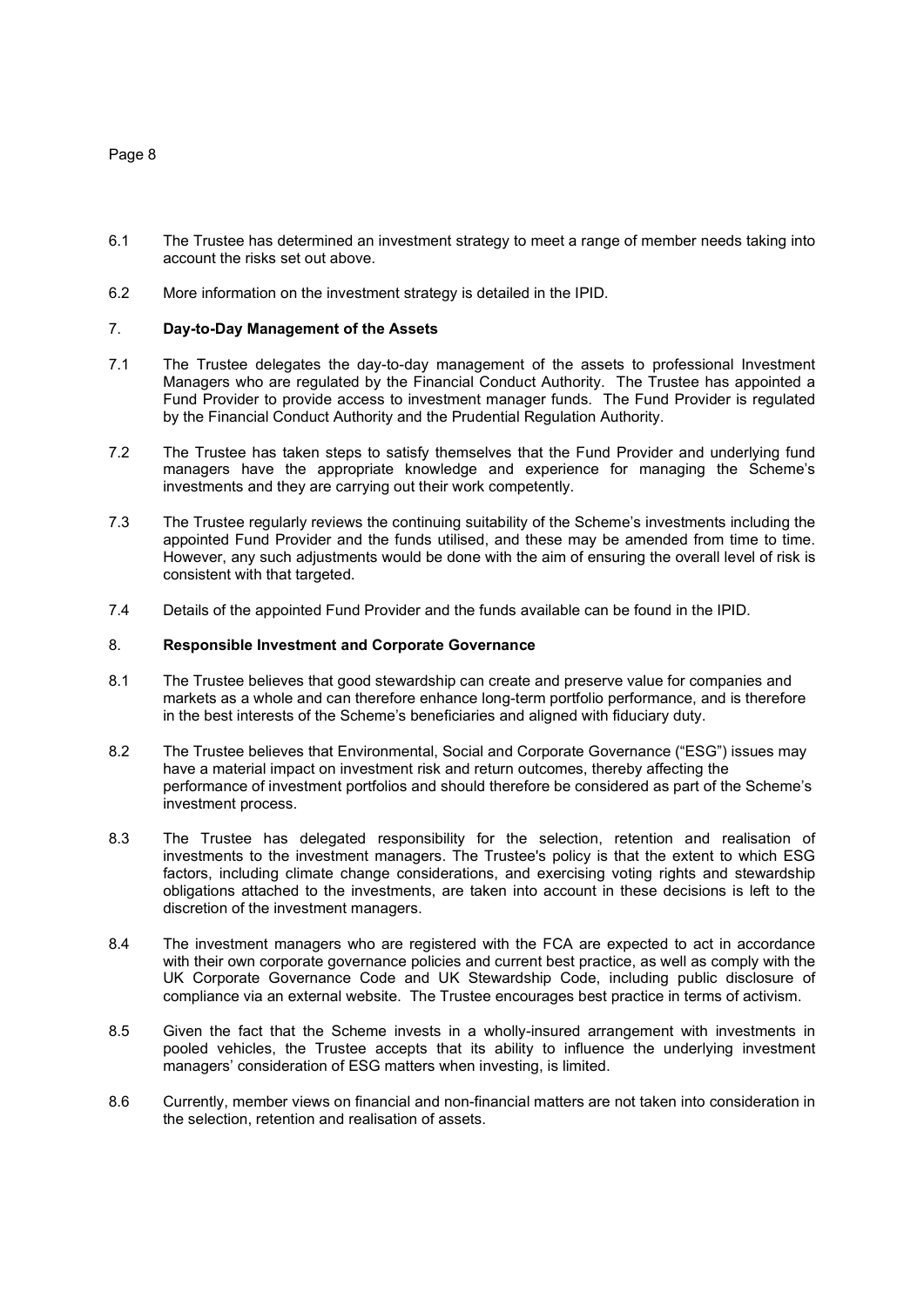- 6.1 The Trustee has determined an investment strategy to meet a range of member needs taking into account the risks set out above.
- 6.2 More information on the investment strategy is detailed in the IPID.

#### 7. **Day-to-Day Management of the Assets**

- 7.1 The Trustee delegates the day-to-day management of the assets to professional Investment Managers who are regulated by the Financial Conduct Authority. The Trustee has appointed a Fund Provider to provide access to investment manager funds. The Fund Provider is regulated by the Financial Conduct Authority and the Prudential Regulation Authority.
- 7.2 The Trustee has taken steps to satisfy themselves that the Fund Provider and underlying fund managers have the appropriate knowledge and experience for managing the Scheme's investments and they are carrying out their work competently.
- 7.3 The Trustee regularly reviews the continuing suitability of the Scheme's investments including the appointed Fund Provider and the funds utilised, and these may be amended from time to time. However, any such adjustments would be done with the aim of ensuring the overall level of risk is consistent with that targeted.
- 7.4 Details of the appointed Fund Provider and the funds available can be found in the IPID.

#### 8. **Responsible Investment and Corporate Governance**

- 8.1 The Trustee believes that good stewardship can create and preserve value for companies and markets as a whole and can therefore enhance long-term portfolio performance, and is therefore in the best interests of the Scheme's beneficiaries and aligned with fiduciary duty.
- 8.2 The Trustee believes that Environmental, Social and Corporate Governance ("ESG") issues may have a material impact on investment risk and return outcomes, thereby affecting the performance of investment portfolios and should therefore be considered as part of the Scheme's investment process.
- 8.3 The Trustee has delegated responsibility for the selection, retention and realisation of investments to the investment managers. The Trustee's policy is that the extent to which ESG factors, including climate change considerations, and exercising voting rights and stewardship obligations attached to the investments, are taken into account in these decisions is left to the discretion of the investment managers.
- 8.4 The investment managers who are registered with the FCA are expected to act in accordance with their own corporate governance policies and current best practice, as well as comply with the UK Corporate Governance Code and UK Stewardship Code, including public disclosure of compliance via an external website.The Trustee encourages best practice in terms of activism.
- 8.5 Given the fact that the Scheme invests in a wholly-insured arrangement with investments in pooled vehicles, the Trustee accepts that its ability to influence the underlying investment managers' consideration of ESG matters when investing, is limited.
- 8.6 Currently, member views on financial and non-financial matters are not taken into consideration in the selection, retention and realisation of assets.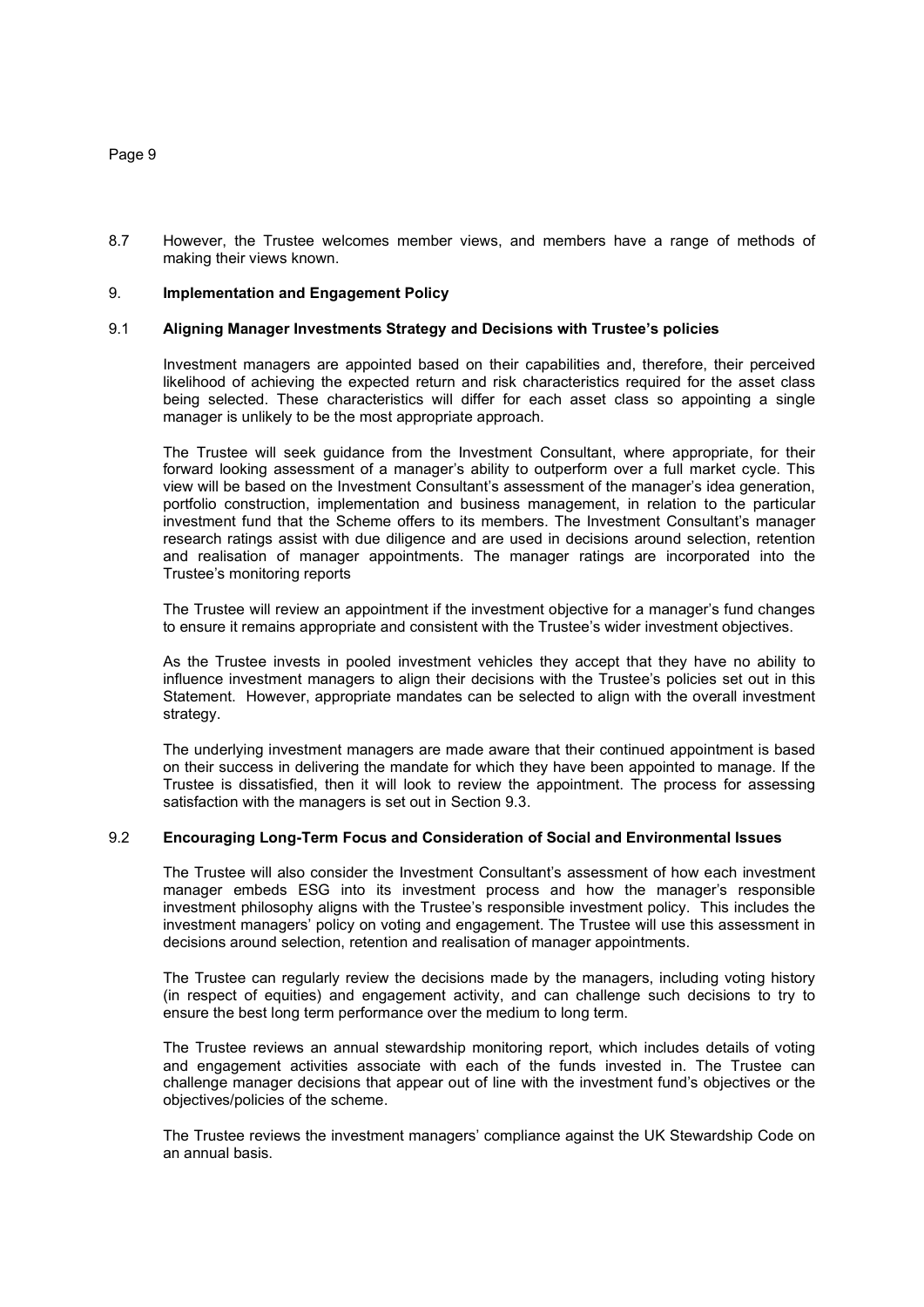8.7 However, the Trustee welcomes member views, and members have a range of methods of making their views known.

## 9. **Implementation and Engagement Policy**

#### 9.1 **Aligning Manager Investments Strategy and Decisions with Trustee's policies**

Investment managers are appointed based on their capabilities and, therefore, their perceived likelihood of achieving the expected return and risk characteristics required for the asset class being selected. These characteristics will differ for each asset class so appointing a single manager is unlikely to be the most appropriate approach.

The Trustee will seek guidance from the Investment Consultant, where appropriate, for their forward looking assessment of a manager's ability to outperform over a full market cycle. This view will be based on the Investment Consultant's assessment of the manager's idea generation, portfolio construction, implementation and business management, in relation to the particular investment fund that the Scheme offers to its members. The Investment Consultant's manager research ratings assist with due diligence and are used in decisions around selection, retention and realisation of manager appointments. The manager ratings are incorporated into the Trustee's monitoring reports

The Trustee will review an appointment if the investment objective for a manager's fund changes to ensure it remains appropriate and consistent with the Trustee's wider investment objectives.

As the Trustee invests in pooled investment vehicles they accept that they have no ability to influence investment managers to align their decisions with the Trustee's policies set out in this Statement. However, appropriate mandates can be selected to align with the overall investment strategy.

The underlying investment managers are made aware that their continued appointment is based on their success in delivering the mandate for which they have been appointed to manage. If the Trustee is dissatisfied, then it will look to review the appointment. The process for assessing satisfaction with the managers is set out in Section 9.3.

## 9.2 **Encouraging Long-Term Focus and Consideration of Social and Environmental Issues**

The Trustee will also consider the Investment Consultant's assessment of how each investment manager embeds ESG into its investment process and how the manager's responsible investment philosophy aligns with the Trustee's responsible investment policy. This includes the investment managers' policy on voting and engagement. The Trustee will use this assessment in decisions around selection, retention and realisation of manager appointments.

The Trustee can regularly review the decisions made by the managers, including voting history (in respect of equities) and engagement activity, and can challenge such decisions to try to ensure the best long term performance over the medium to long term.

The Trustee reviews an annual stewardship monitoring report, which includes details of voting and engagement activities associate with each of the funds invested in. The Trustee can challenge manager decisions that appear out of line with the investment fund's objectives or the objectives/policies of the scheme.

The Trustee reviews the investment managers' compliance against the UK Stewardship Code on an annual basis.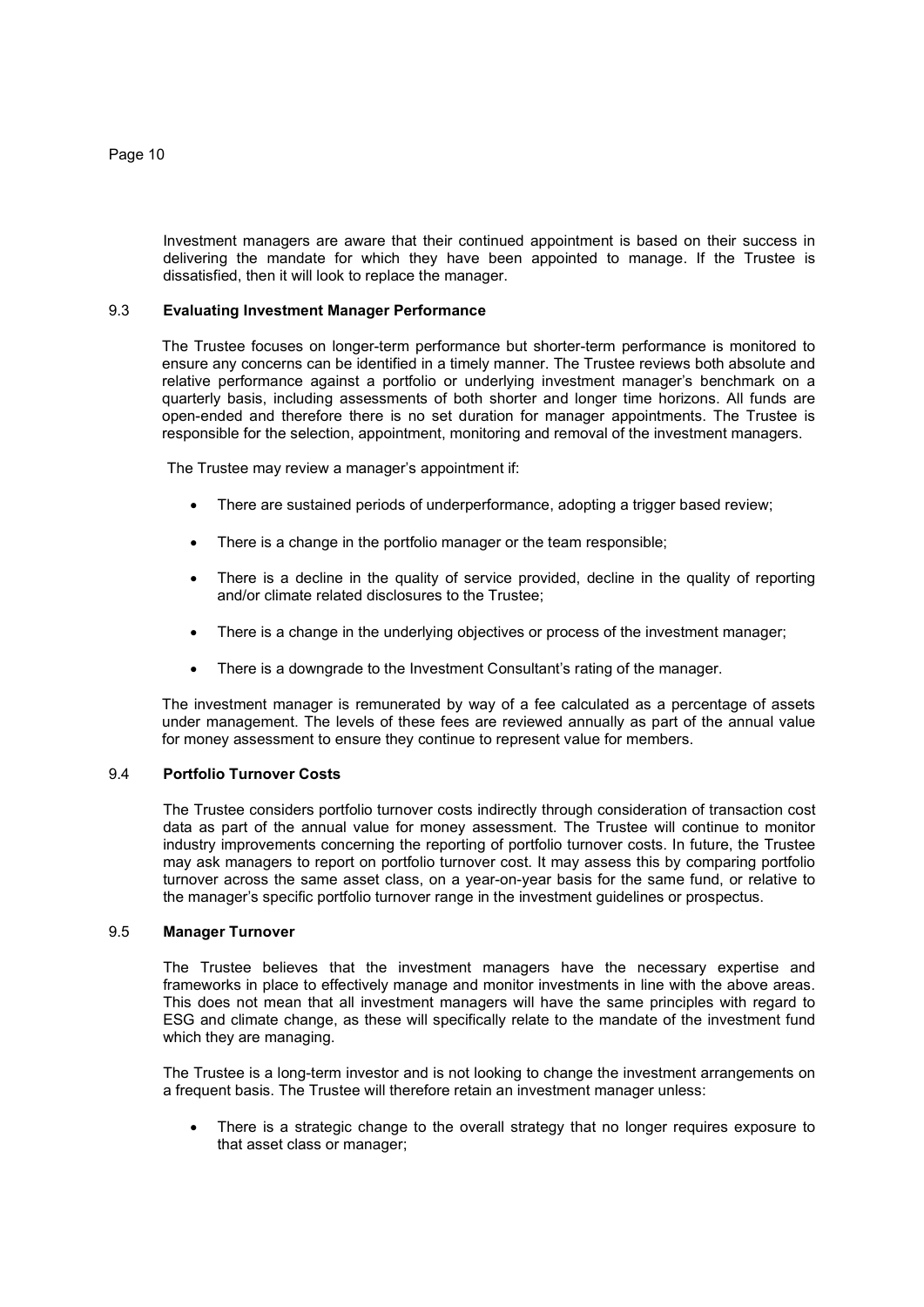Investment managers are aware that their continued appointment is based on their success in delivering the mandate for which they have been appointed to manage. If the Trustee is dissatisfied, then it will look to replace the manager.

## 9.3 **Evaluating Investment Manager Performance**

The Trustee focuses on longer-term performance but shorter-term performance is monitored to ensure any concerns can be identified in a timely manner. The Trustee reviews both absolute and relative performance against a portfolio or underlying investment manager's benchmark on a quarterly basis, including assessments of both shorter and longer time horizons. All funds are open-ended and therefore there is no set duration for manager appointments. The Trustee is responsible for the selection, appointment, monitoring and removal of the investment managers.

The Trustee may review a manager's appointment if:

- There are sustained periods of underperformance, adopting a trigger based review;
- There is a change in the portfolio manager or the team responsible;
- There is a decline in the quality of service provided, decline in the quality of reporting and/or climate related disclosures to the Trustee;
- There is a change in the underlying objectives or process of the investment manager;
- There is a downgrade to the Investment Consultant's rating of the manager.

The investment manager is remunerated by way of a fee calculated as a percentage of assets under management. The levels of these fees are reviewed annually as part of the annual value for money assessment to ensure they continue to represent value for members.

## 9.4 **Portfolio Turnover Costs**

The Trustee considers portfolio turnover costs indirectly through consideration of transaction cost data as part of the annual value for money assessment. The Trustee will continue to monitor industry improvements concerning the reporting of portfolio turnover costs. In future, the Trustee may ask managers to report on portfolio turnover cost. It may assess this by comparing portfolio turnover across the same asset class, on a year-on-year basis for the same fund, or relative to the manager's specific portfolio turnover range in the investment guidelines or prospectus.

#### 9.5 **Manager Turnover**

The Trustee believes that the investment managers have the necessary expertise and frameworks in place to effectively manage and monitor investments in line with the above areas. This does not mean that all investment managers will have the same principles with regard to ESG and climate change, as these will specifically relate to the mandate of the investment fund which they are managing.

The Trustee is a long-term investor and is not looking to change the investment arrangements on a frequent basis. The Trustee will therefore retain an investment manager unless:

 There is a strategic change to the overall strategy that no longer requires exposure to that asset class or manager;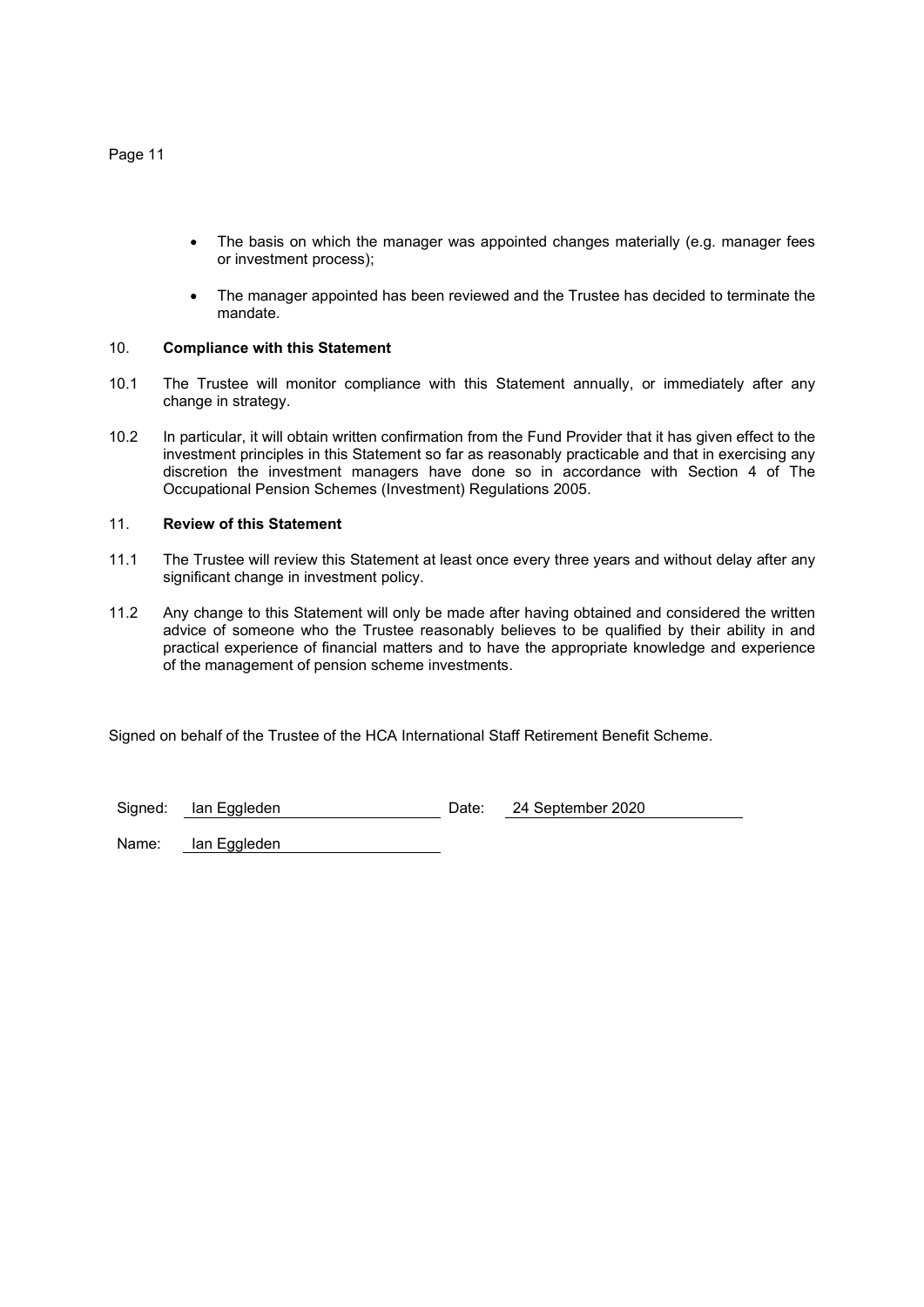- The basis on which the manager was appointed changes materially (e.g. manager fees or investment process);
- The manager appointed has been reviewed and the Trustee has decided to terminate the mandate.

## 10. **Compliance with this Statement**

- 10.1 The Trustee will monitor compliance with this Statement annually, or immediately after any change in strategy.
- 10.2 In particular, it will obtain written confirmation from the Fund Provider that it has given effect to the investment principles in this Statement so far as reasonably practicable and that in exercising any discretion the investment managers have done so in accordance with Section 4 of The Occupational Pension Schemes (Investment) Regulations 2005.

## 11. **Review of this Statement**

- 11.1 The Trustee will review this Statement at least once every three years and without delay after any significant change in investment policy.
- 11.2 Any change to this Statement will only be made after having obtained and considered the written advice of someone who the Trustee reasonably believes to be qualified by their ability in and practical experience of financial matters and to have the appropriate knowledge and experience of the management of pension scheme investments.

Signed on behalf of the Trustee of the HCA International Staff Retirement Benefit Scheme.

Signed: Ian Eggleden Date: 24 September 2020

Name: Ian Eggleden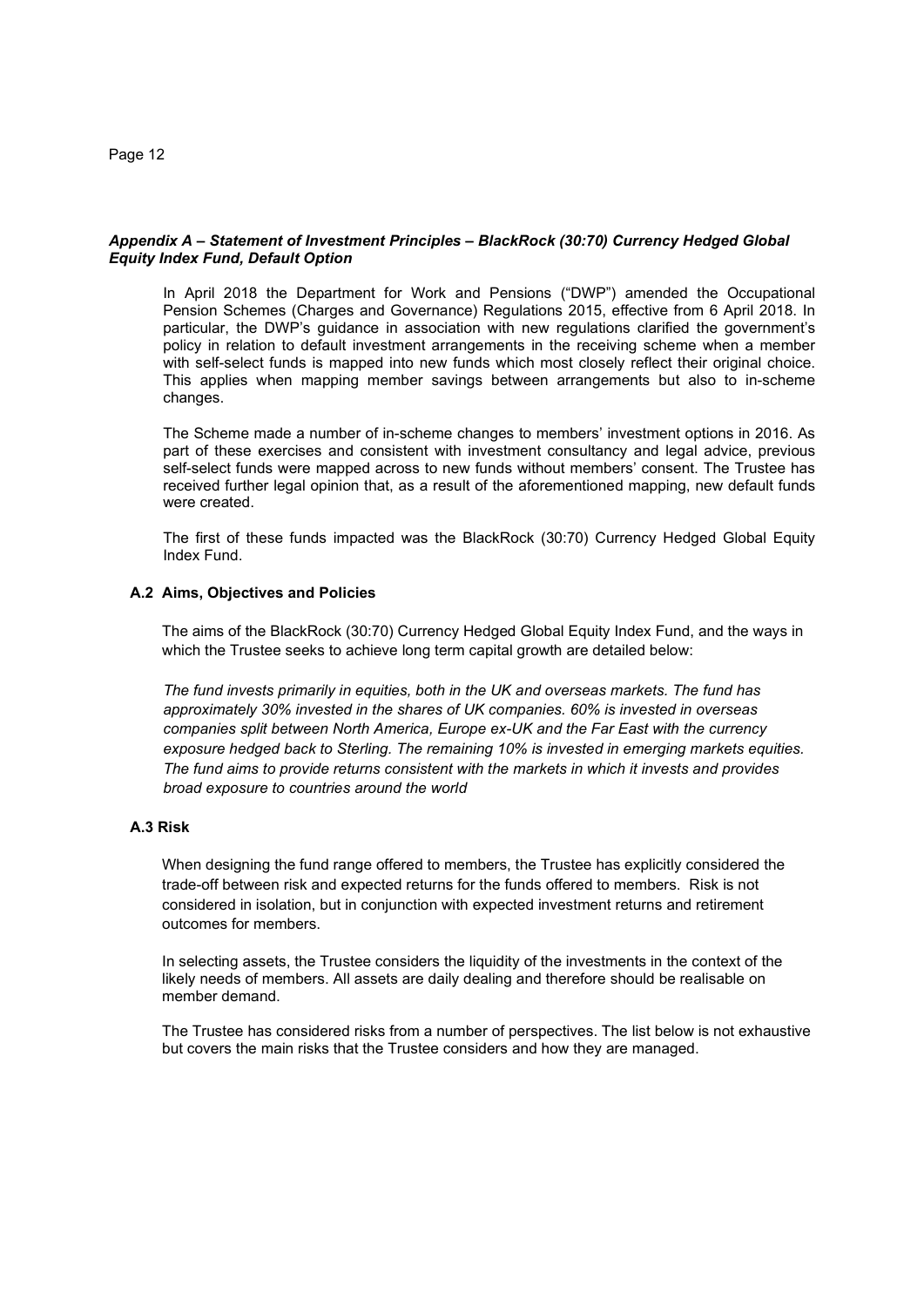## *Appendix A – Statement of Investment Principles – BlackRock (30:70) Currency Hedged Global Equity Index Fund, Default Option*

In April 2018 the Department for Work and Pensions ("DWP") amended the Occupational Pension Schemes (Charges and Governance) Regulations 2015, effective from 6 April 2018. In particular, the DWP's guidance in association with new regulations clarified the government's policy in relation to default investment arrangements in the receiving scheme when a member with self-select funds is mapped into new funds which most closely reflect their original choice. This applies when mapping member savings between arrangements but also to in-scheme changes.

The Scheme made a number of in-scheme changes to members' investment options in 2016. As part of these exercises and consistent with investment consultancy and legal advice, previous self-select funds were mapped across to new funds without members' consent. The Trustee has received further legal opinion that, as a result of the aforementioned mapping, new default funds were created.

The first of these funds impacted was the BlackRock (30:70) Currency Hedged Global Equity Index Fund.

## **A.2 Aims, Objectives and Policies**

The aims of the BlackRock (30:70) Currency Hedged Global Equity Index Fund, and the ways in which the Trustee seeks to achieve long term capital growth are detailed below:

*The fund invests primarily in equities, both in the UK and overseas markets. The fund has approximately 30% invested in the shares of UK companies. 60% is invested in overseas companies split between North America, Europe ex-UK and the Far East with the currency exposure hedged back to Sterling. The remaining 10% is invested in emerging markets equities. The fund aims to provide returns consistent with the markets in which it invests and provides broad exposure to countries around the world* 

## **A.3 Risk**

When designing the fund range offered to members, the Trustee has explicitly considered the trade-off between risk and expected returns for the funds offered to members. Risk is not considered in isolation, but in conjunction with expected investment returns and retirement outcomes for members.

In selecting assets, the Trustee considers the liquidity of the investments in the context of the likely needs of members. All assets are daily dealing and therefore should be realisable on member demand.

The Trustee has considered risks from a number of perspectives. The list below is not exhaustive but covers the main risks that the Trustee considers and how they are managed.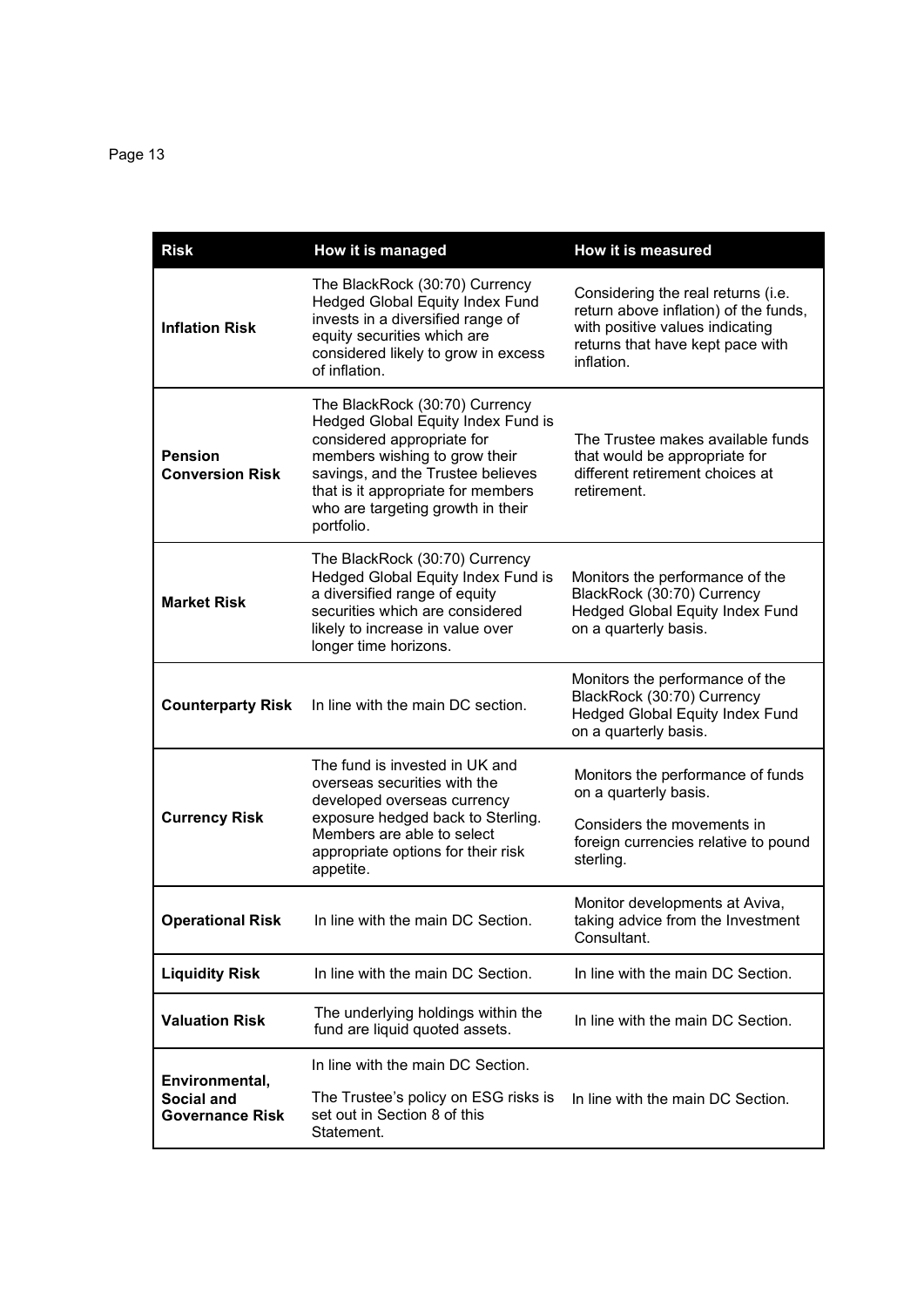| <b>Risk</b>                                            | How it is managed                                                                                                                                                                                                                                                 | How it is measured                                                                                                                                               |
|--------------------------------------------------------|-------------------------------------------------------------------------------------------------------------------------------------------------------------------------------------------------------------------------------------------------------------------|------------------------------------------------------------------------------------------------------------------------------------------------------------------|
| <b>Inflation Risk</b>                                  | The BlackRock (30:70) Currency<br><b>Hedged Global Equity Index Fund</b><br>invests in a diversified range of<br>equity securities which are<br>considered likely to grow in excess<br>of inflation.                                                              | Considering the real returns (i.e.<br>return above inflation) of the funds,<br>with positive values indicating<br>returns that have kept pace with<br>inflation. |
| <b>Pension</b><br><b>Conversion Risk</b>               | The BlackRock (30:70) Currency<br>Hedged Global Equity Index Fund is<br>considered appropriate for<br>members wishing to grow their<br>savings, and the Trustee believes<br>that is it appropriate for members<br>who are targeting growth in their<br>portfolio. | The Trustee makes available funds<br>that would be appropriate for<br>different retirement choices at<br>retirement.                                             |
| <b>Market Risk</b>                                     | The BlackRock (30:70) Currency<br>Hedged Global Equity Index Fund is<br>a diversified range of equity<br>securities which are considered<br>likely to increase in value over<br>longer time horizons.                                                             | Monitors the performance of the<br>BlackRock (30:70) Currency<br><b>Hedged Global Equity Index Fund</b><br>on a quarterly basis.                                 |
| <b>Counterparty Risk</b>                               | In line with the main DC section.                                                                                                                                                                                                                                 | Monitors the performance of the<br>BlackRock (30:70) Currency<br><b>Hedged Global Equity Index Fund</b><br>on a quarterly basis.                                 |
| <b>Currency Risk</b>                                   | The fund is invested in UK and<br>overseas securities with the<br>developed overseas currency<br>exposure hedged back to Sterling.<br>Members are able to select<br>appropriate options for their risk<br>appetite.                                               | Monitors the performance of funds<br>on a quarterly basis.<br>Considers the movements in<br>foreign currencies relative to pound<br>sterling.                    |
| <b>Operational Risk</b>                                | In line with the main DC Section.                                                                                                                                                                                                                                 | Monitor developments at Aviva,<br>taking advice from the Investment<br>Consultant.                                                                               |
| <b>Liquidity Risk</b>                                  | In line with the main DC Section.                                                                                                                                                                                                                                 | In line with the main DC Section.                                                                                                                                |
| <b>Valuation Risk</b>                                  | The underlying holdings within the<br>fund are liquid quoted assets.                                                                                                                                                                                              | In line with the main DC Section.                                                                                                                                |
| Environmental,<br>Social and<br><b>Governance Risk</b> | In line with the main DC Section.<br>The Trustee's policy on ESG risks is<br>set out in Section 8 of this<br>Statement.                                                                                                                                           | In line with the main DC Section.                                                                                                                                |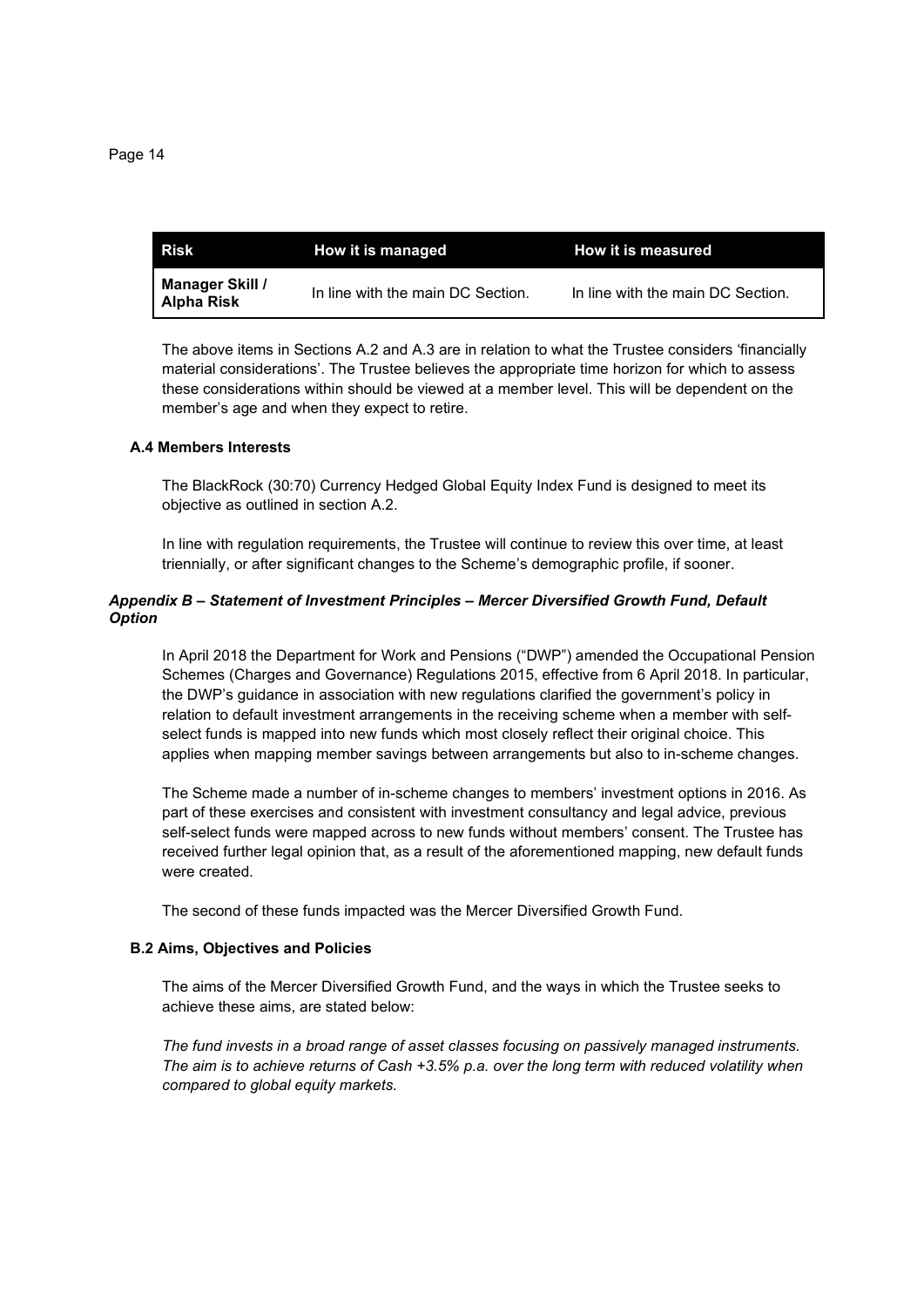| <b>Risk</b>                   | How it is managed                 | How it is measured                |
|-------------------------------|-----------------------------------|-----------------------------------|
| Manager Skill /<br>Alpha Risk | In line with the main DC Section. | In line with the main DC Section. |

The above items in Sections A.2 and A.3 are in relation to what the Trustee considers 'financially material considerations'. The Trustee believes the appropriate time horizon for which to assess these considerations within should be viewed at a member level. This will be dependent on the member's age and when they expect to retire.

#### **A.4 Members Interests**

The BlackRock (30:70) Currency Hedged Global Equity Index Fund is designed to meet its objective as outlined in section A.2.

In line with regulation requirements, the Trustee will continue to review this over time, at least triennially, or after significant changes to the Scheme's demographic profile, if sooner.

## *Appendix B – Statement of Investment Principles – Mercer Diversified Growth Fund, Default Option*

In April 2018 the Department for Work and Pensions ("DWP") amended the Occupational Pension Schemes (Charges and Governance) Regulations 2015, effective from 6 April 2018. In particular, the DWP's guidance in association with new regulations clarified the government's policy in relation to default investment arrangements in the receiving scheme when a member with selfselect funds is mapped into new funds which most closely reflect their original choice. This applies when mapping member savings between arrangements but also to in-scheme changes.

The Scheme made a number of in-scheme changes to members' investment options in 2016. As part of these exercises and consistent with investment consultancy and legal advice, previous self-select funds were mapped across to new funds without members' consent. The Trustee has received further legal opinion that, as a result of the aforementioned mapping, new default funds were created.

The second of these funds impacted was the Mercer Diversified Growth Fund.

## **B.2 Aims, Objectives and Policies**

The aims of the Mercer Diversified Growth Fund, and the ways in which the Trustee seeks to achieve these aims, are stated below:

*The fund invests in a broad range of asset classes focusing on passively managed instruments. The aim is to achieve returns of Cash +3.5% p.a. over the long term with reduced volatility when compared to global equity markets.*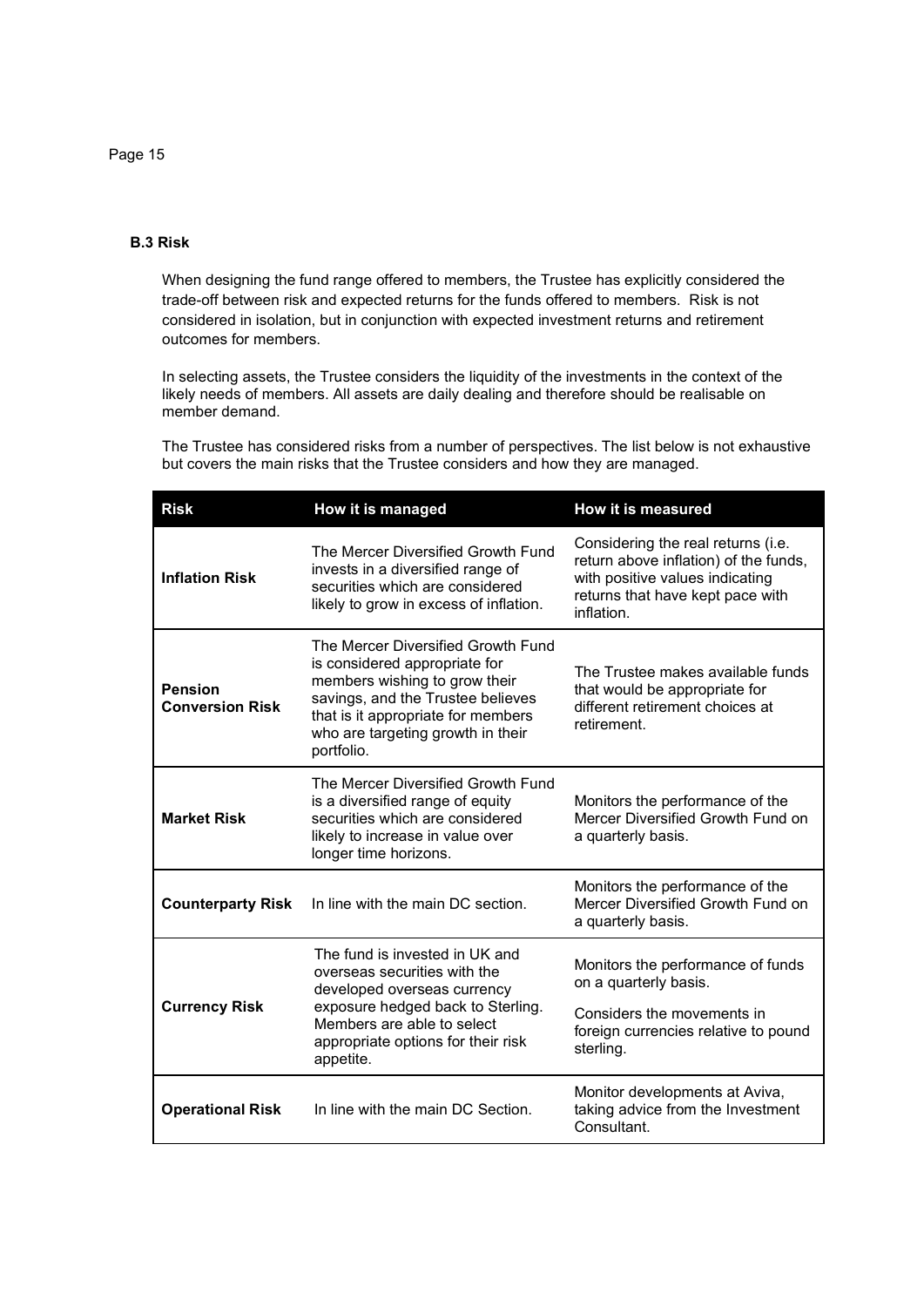## **B.3 Risk**

When designing the fund range offered to members, the Trustee has explicitly considered the trade-off between risk and expected returns for the funds offered to members. Risk is not considered in isolation, but in conjunction with expected investment returns and retirement outcomes for members.

In selecting assets, the Trustee considers the liquidity of the investments in the context of the likely needs of members. All assets are daily dealing and therefore should be realisable on member demand.

The Trustee has considered risks from a number of perspectives. The list below is not exhaustive but covers the main risks that the Trustee considers and how they are managed.

| <b>Risk</b>                              | How it is managed                                                                                                                                                                                                                  | How it is measured                                                                                                                                               |
|------------------------------------------|------------------------------------------------------------------------------------------------------------------------------------------------------------------------------------------------------------------------------------|------------------------------------------------------------------------------------------------------------------------------------------------------------------|
| <b>Inflation Risk</b>                    | The Mercer Diversified Growth Fund<br>invests in a diversified range of<br>securities which are considered<br>likely to grow in excess of inflation.                                                                               | Considering the real returns (i.e.<br>return above inflation) of the funds,<br>with positive values indicating<br>returns that have kept pace with<br>inflation. |
| <b>Pension</b><br><b>Conversion Risk</b> | The Mercer Diversified Growth Fund<br>is considered appropriate for<br>members wishing to grow their<br>savings, and the Trustee believes<br>that is it appropriate for members<br>who are targeting growth in their<br>portfolio. | The Trustee makes available funds<br>that would be appropriate for<br>different retirement choices at<br>retirement.                                             |
| <b>Market Risk</b>                       | The Mercer Diversified Growth Fund<br>is a diversified range of equity<br>securities which are considered<br>likely to increase in value over<br>longer time horizons.                                                             | Monitors the performance of the<br>Mercer Diversified Growth Fund on<br>a quarterly basis.                                                                       |
| <b>Counterparty Risk</b>                 | In line with the main DC section.                                                                                                                                                                                                  | Monitors the performance of the<br>Mercer Diversified Growth Fund on<br>a quarterly basis.                                                                       |
| <b>Currency Risk</b>                     | The fund is invested in UK and<br>overseas securities with the<br>developed overseas currency<br>exposure hedged back to Sterling.<br>Members are able to select<br>appropriate options for their risk<br>appetite.                | Monitors the performance of funds<br>on a quarterly basis.<br>Considers the movements in<br>foreign currencies relative to pound<br>sterling.                    |
| <b>Operational Risk</b>                  | In line with the main DC Section.                                                                                                                                                                                                  | Monitor developments at Aviva,<br>taking advice from the Investment<br>Consultant.                                                                               |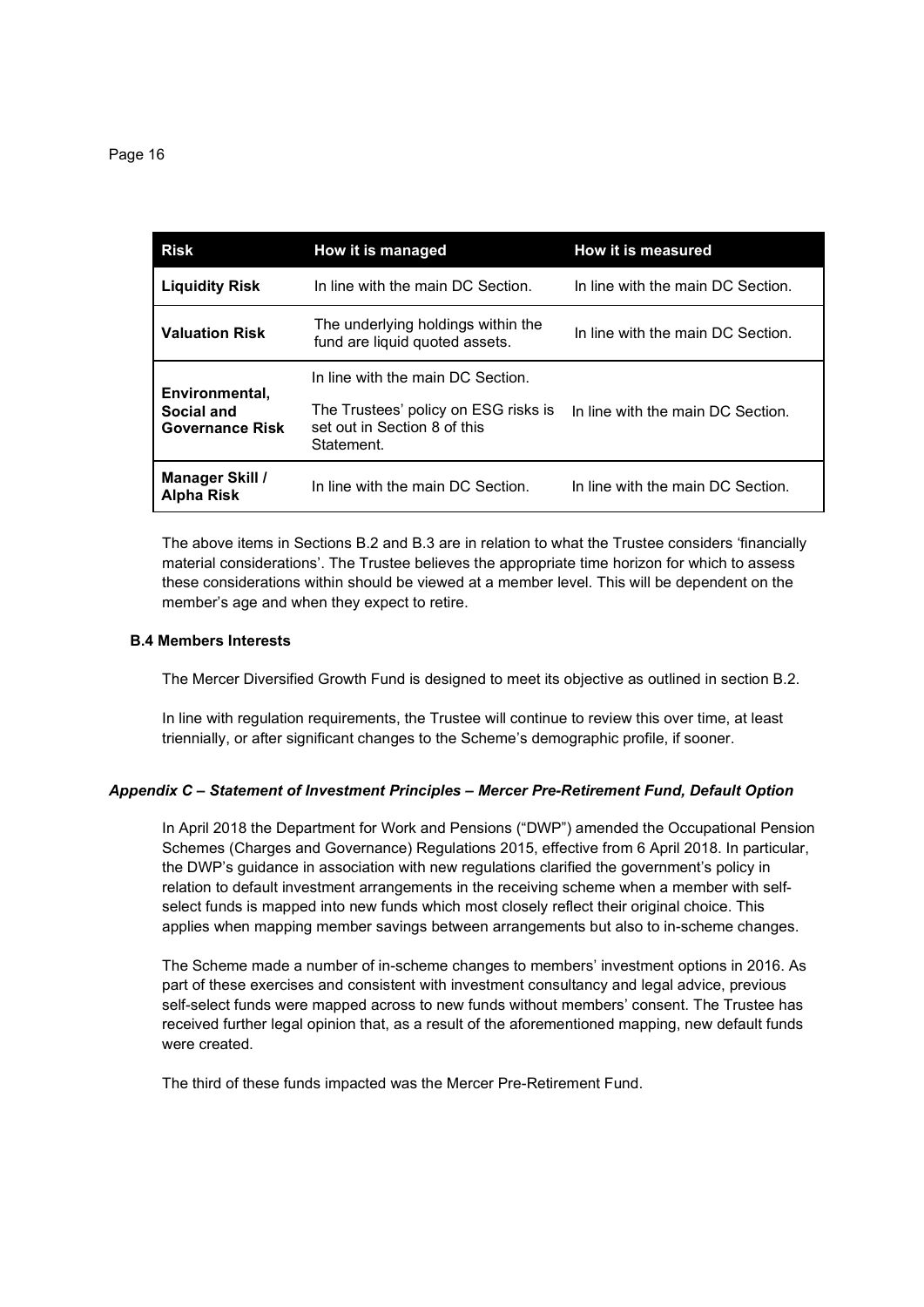| <b>Risk</b>                          | How it is managed                                                                  | How it is measured                |
|--------------------------------------|------------------------------------------------------------------------------------|-----------------------------------|
| <b>Liquidity Risk</b>                | In line with the main DC Section.                                                  | In line with the main DC Section. |
| <b>Valuation Risk</b>                | The underlying holdings within the<br>fund are liquid quoted assets.               | In line with the main DC Section. |
| Environmental,                       | In line with the main DC Section.                                                  |                                   |
| Social and<br><b>Governance Risk</b> | The Trustees' policy on ESG risks is<br>set out in Section 8 of this<br>Statement. | In line with the main DC Section. |
| Manager Skill /<br><b>Alpha Risk</b> | In line with the main DC Section.                                                  | In line with the main DC Section. |

The above items in Sections B.2 and B.3 are in relation to what the Trustee considers 'financially material considerations'. The Trustee believes the appropriate time horizon for which to assess these considerations within should be viewed at a member level. This will be dependent on the member's age and when they expect to retire.

## **B.4 Members Interests**

The Mercer Diversified Growth Fund is designed to meet its objective as outlined in section B.2.

In line with regulation requirements, the Trustee will continue to review this over time, at least triennially, or after significant changes to the Scheme's demographic profile, if sooner.

## *Appendix C – Statement of Investment Principles – Mercer Pre-Retirement Fund, Default Option*

In April 2018 the Department for Work and Pensions ("DWP") amended the Occupational Pension Schemes (Charges and Governance) Regulations 2015, effective from 6 April 2018. In particular, the DWP's guidance in association with new regulations clarified the government's policy in relation to default investment arrangements in the receiving scheme when a member with selfselect funds is mapped into new funds which most closely reflect their original choice. This applies when mapping member savings between arrangements but also to in-scheme changes.

The Scheme made a number of in-scheme changes to members' investment options in 2016. As part of these exercises and consistent with investment consultancy and legal advice, previous self-select funds were mapped across to new funds without members' consent. The Trustee has received further legal opinion that, as a result of the aforementioned mapping, new default funds were created.

The third of these funds impacted was the Mercer Pre-Retirement Fund.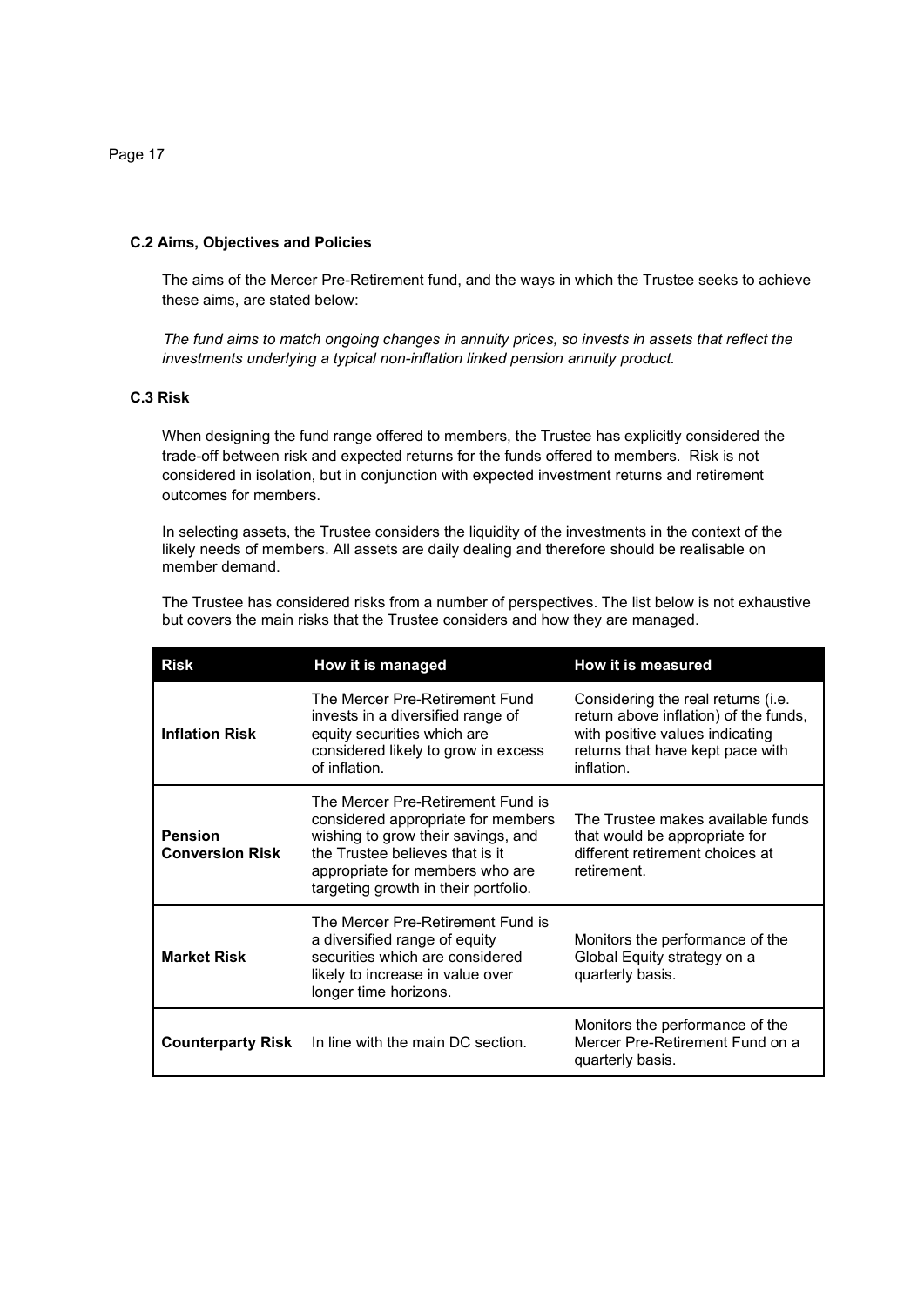**C.2 Aims, Objectives and Policies** 

The aims of the Mercer Pre-Retirement fund, and the ways in which the Trustee seeks to achieve these aims, are stated below:

 *The fund aims to match ongoing changes in annuity prices, so invests in assets that reflect the investments underlying a typical non-inflation linked pension annuity product.* 

## **C.3 Risk**

When designing the fund range offered to members, the Trustee has explicitly considered the trade-off between risk and expected returns for the funds offered to members. Risk is not considered in isolation, but in conjunction with expected investment returns and retirement outcomes for members.

In selecting assets, the Trustee considers the liquidity of the investments in the context of the likely needs of members. All assets are daily dealing and therefore should be realisable on member demand.

The Trustee has considered risks from a number of perspectives. The list below is not exhaustive but covers the main risks that the Trustee considers and how they are managed.

| <b>Risk</b>                              | How it is managed                                                                                                                                                                                                           | How it is measured                                                                                                                                               |
|------------------------------------------|-----------------------------------------------------------------------------------------------------------------------------------------------------------------------------------------------------------------------------|------------------------------------------------------------------------------------------------------------------------------------------------------------------|
| <b>Inflation Risk</b>                    | The Mercer Pre-Retirement Fund<br>invests in a diversified range of<br>equity securities which are<br>considered likely to grow in excess<br>of inflation.                                                                  | Considering the real returns (i.e.<br>return above inflation) of the funds,<br>with positive values indicating<br>returns that have kept pace with<br>inflation. |
| <b>Pension</b><br><b>Conversion Risk</b> | The Mercer Pre-Retirement Fund is<br>considered appropriate for members<br>wishing to grow their savings, and<br>the Trustee believes that is it<br>appropriate for members who are<br>targeting growth in their portfolio. | The Trustee makes available funds<br>that would be appropriate for<br>different retirement choices at<br>retirement.                                             |
| <b>Market Risk</b>                       | The Mercer Pre-Retirement Fund is<br>a diversified range of equity<br>securities which are considered<br>likely to increase in value over<br>longer time horizons.                                                          | Monitors the performance of the<br>Global Equity strategy on a<br>quarterly basis.                                                                               |
| <b>Counterparty Risk</b>                 | In line with the main DC section.                                                                                                                                                                                           | Monitors the performance of the<br>Mercer Pre-Retirement Fund on a<br>quarterly basis.                                                                           |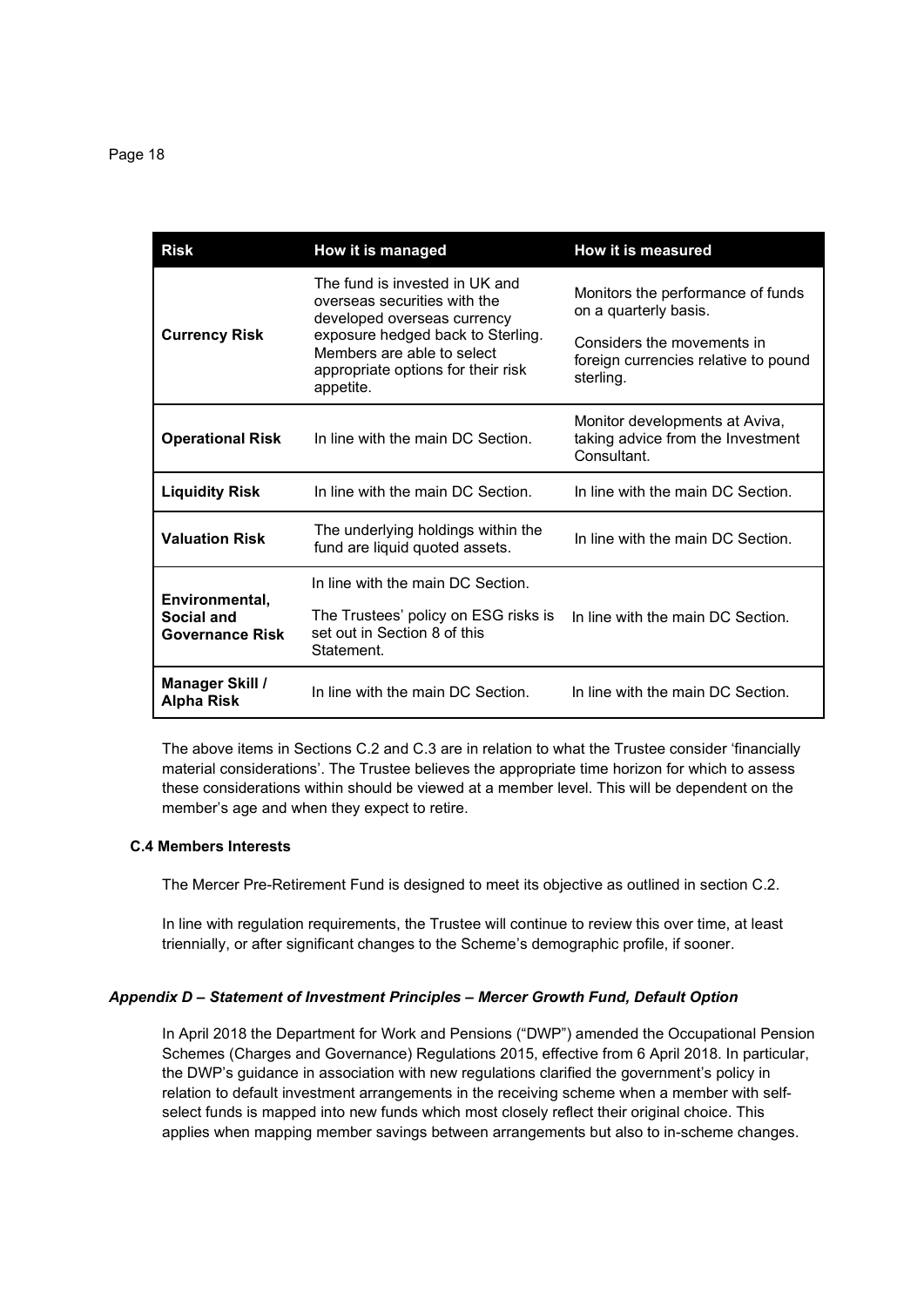| <b>Risk</b>                                            | How it is managed                                                                                                                                                                                                   | How it is measured                                                                                                                            |
|--------------------------------------------------------|---------------------------------------------------------------------------------------------------------------------------------------------------------------------------------------------------------------------|-----------------------------------------------------------------------------------------------------------------------------------------------|
| <b>Currency Risk</b>                                   | The fund is invested in UK and<br>overseas securities with the<br>developed overseas currency<br>exposure hedged back to Sterling.<br>Members are able to select<br>appropriate options for their risk<br>appetite. | Monitors the performance of funds<br>on a quarterly basis.<br>Considers the movements in<br>foreign currencies relative to pound<br>sterling. |
| <b>Operational Risk</b>                                | In line with the main DC Section.                                                                                                                                                                                   | Monitor developments at Aviva,<br>taking advice from the Investment<br>Consultant.                                                            |
| <b>Liquidity Risk</b>                                  | In line with the main DC Section.                                                                                                                                                                                   | In line with the main DC Section.                                                                                                             |
| <b>Valuation Risk</b>                                  | The underlying holdings within the<br>fund are liquid quoted assets.                                                                                                                                                | In line with the main DC Section.                                                                                                             |
| Environmental,<br>Social and<br><b>Governance Risk</b> | In line with the main DC Section.<br>The Trustees' policy on ESG risks is<br>set out in Section 8 of this<br>Statement.                                                                                             | In line with the main DC Section.                                                                                                             |
| <b>Manager Skill /</b><br><b>Alpha Risk</b>            | In line with the main DC Section.                                                                                                                                                                                   | In line with the main DC Section.                                                                                                             |

The above items in Sections C.2 and C.3 are in relation to what the Trustee consider 'financially material considerations'. The Trustee believes the appropriate time horizon for which to assess these considerations within should be viewed at a member level. This will be dependent on the member's age and when they expect to retire.

## **C.4 Members Interests**

The Mercer Pre-Retirement Fund is designed to meet its objective as outlined in section C.2.

In line with regulation requirements, the Trustee will continue to review this over time, at least triennially, or after significant changes to the Scheme's demographic profile, if sooner.

## *Appendix D – Statement of Investment Principles – Mercer Growth Fund, Default Option*

In April 2018 the Department for Work and Pensions ("DWP") amended the Occupational Pension Schemes (Charges and Governance) Regulations 2015, effective from 6 April 2018. In particular, the DWP's guidance in association with new regulations clarified the government's policy in relation to default investment arrangements in the receiving scheme when a member with selfselect funds is mapped into new funds which most closely reflect their original choice. This applies when mapping member savings between arrangements but also to in-scheme changes.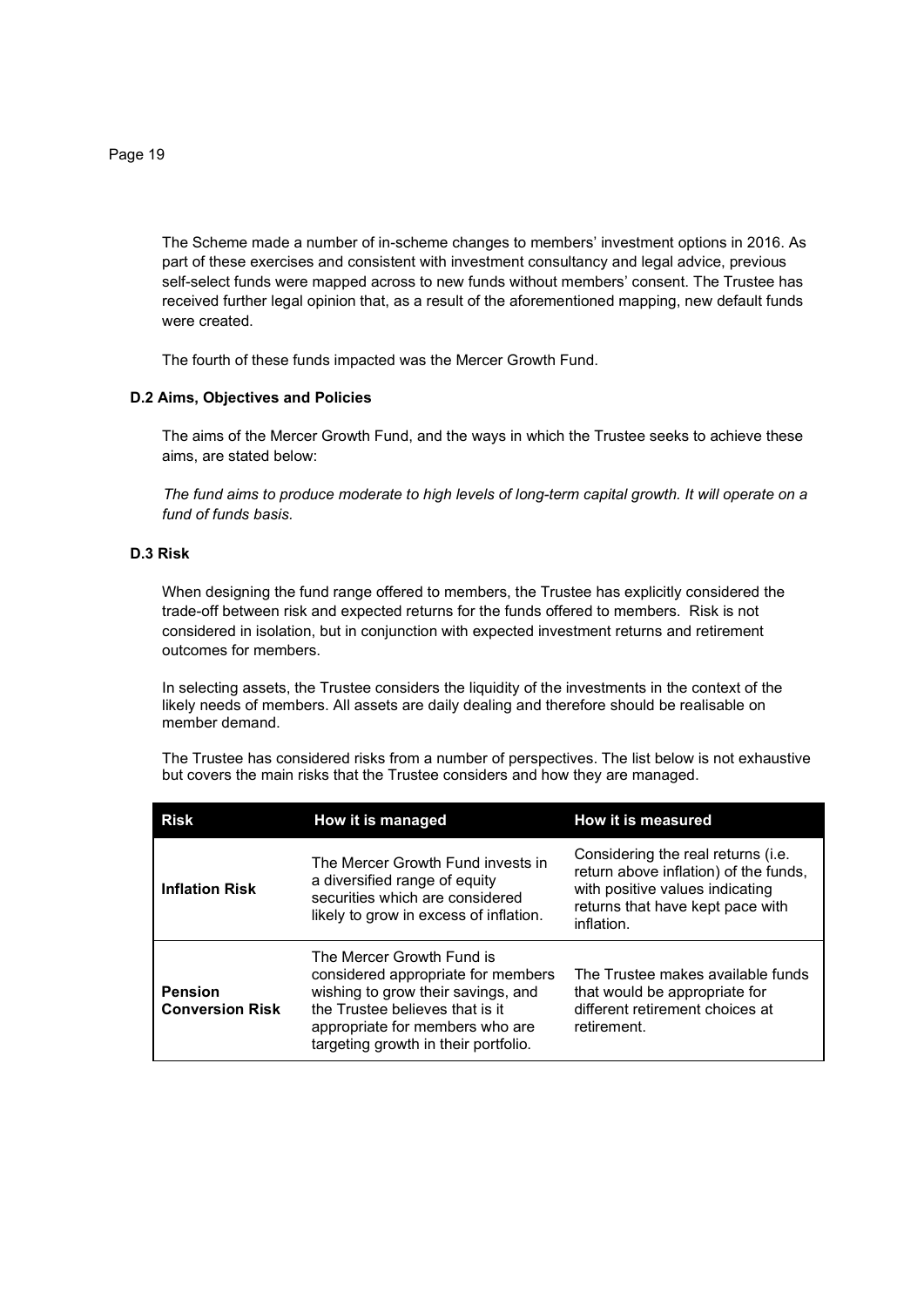The Scheme made a number of in-scheme changes to members' investment options in 2016. As part of these exercises and consistent with investment consultancy and legal advice, previous self-select funds were mapped across to new funds without members' consent. The Trustee has received further legal opinion that, as a result of the aforementioned mapping, new default funds were created.

The fourth of these funds impacted was the Mercer Growth Fund.

## **D.2 Aims, Objectives and Policies**

The aims of the Mercer Growth Fund, and the ways in which the Trustee seeks to achieve these aims, are stated below:

 *The fund aims to produce moderate to high levels of long-term capital growth. It will operate on a fund of funds basis.* 

## **D.3 Risk**

When designing the fund range offered to members, the Trustee has explicitly considered the trade-off between risk and expected returns for the funds offered to members. Risk is not considered in isolation, but in conjunction with expected investment returns and retirement outcomes for members.

In selecting assets, the Trustee considers the liquidity of the investments in the context of the likely needs of members. All assets are daily dealing and therefore should be realisable on member demand.

The Trustee has considered risks from a number of perspectives. The list below is not exhaustive but covers the main risks that the Trustee considers and how they are managed.

| <b>Risk</b>                              | How it is managed                                                                                                                                                                                                   | How it is measured                                                                                                                                               |
|------------------------------------------|---------------------------------------------------------------------------------------------------------------------------------------------------------------------------------------------------------------------|------------------------------------------------------------------------------------------------------------------------------------------------------------------|
| <b>Inflation Risk</b>                    | The Mercer Growth Fund invests in<br>a diversified range of equity<br>securities which are considered<br>likely to grow in excess of inflation.                                                                     | Considering the real returns (i.e.<br>return above inflation) of the funds,<br>with positive values indicating<br>returns that have kept pace with<br>inflation. |
| <b>Pension</b><br><b>Conversion Risk</b> | The Mercer Growth Fund is<br>considered appropriate for members<br>wishing to grow their savings, and<br>the Trustee believes that is it<br>appropriate for members who are<br>targeting growth in their portfolio. | The Trustee makes available funds<br>that would be appropriate for<br>different retirement choices at<br>retirement.                                             |